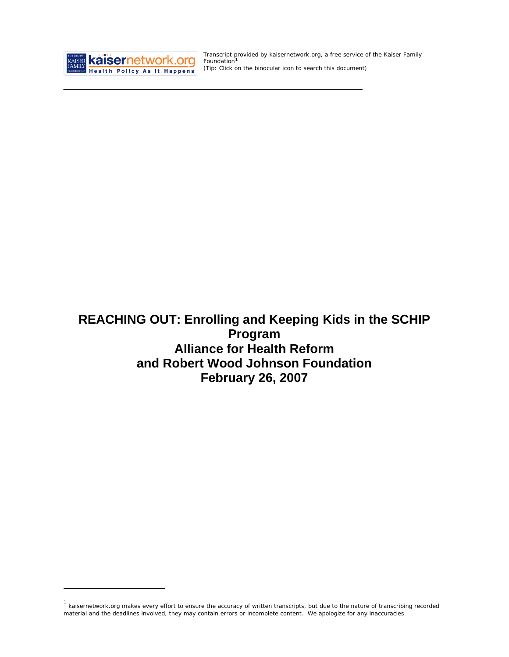

<u>.</u>

Transcript provided by kaisernetwork.org, a free service of the Kaiser Family Foundation**[1](#page-0-0)** *(Tip: Click on the binocular icon to search this document)* 

**REACHING OUT: Enrolling and Keeping Kids in the SCHIP Program Alliance for Health Reform and Robert Wood Johnson Foundation February 26, 2007**

<span id="page-0-0"></span> $1$  kaisernetwork.org makes every effort to ensure the accuracy of written transcripts, but due to the nature of transcribing recorded material and the deadlines involved, they may contain errors or incomplete content. We apologize for any inaccuracies.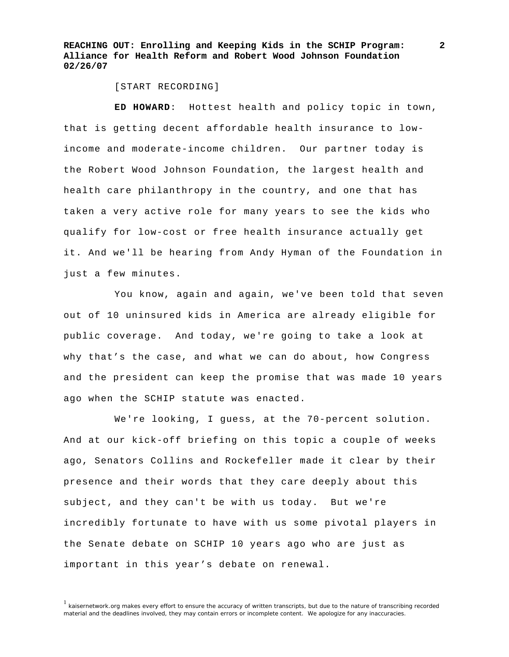[START RECORDING]

 **ED HOWARD**: Hottest health and policy topic in town, that is getting decent affordable health insurance to lowincome and moderate-income children. Our partner today is the Robert Wood Johnson Foundation, the largest health and health care philanthropy in the country, and one that has taken a very active role for many years to see the kids who qualify for low-cost or free health insurance actually get it. And we'll be hearing from Andy Hyman of the Foundation in just a few minutes.

 You know, again and again, we've been told that seven out of 10 uninsured kids in America are already eligible for public coverage. And today, we're going to take a look at why that's the case, and what we can do about, how Congress and the president can keep the promise that was made 10 years ago when the SCHIP statute was enacted.

 We're looking, I guess, at the 70-percent solution. And at our kick-off briefing on this topic a couple of weeks ago, Senators Collins and Rockefeller made it clear by their presence and their words that they care deeply about this subject, and they can't be with us today. But we're incredibly fortunate to have with us some pivotal players in the Senate debate on SCHIP 10 years ago who are just as important in this year's debate on renewal.

<sup>&</sup>lt;sup>1</sup> kaisernetwork.org makes every effort to ensure the accuracy of written transcripts, but due to the nature of transcribing recorded material and the deadlines involved, they may contain errors or incomplete content. We apologize for any inaccuracies.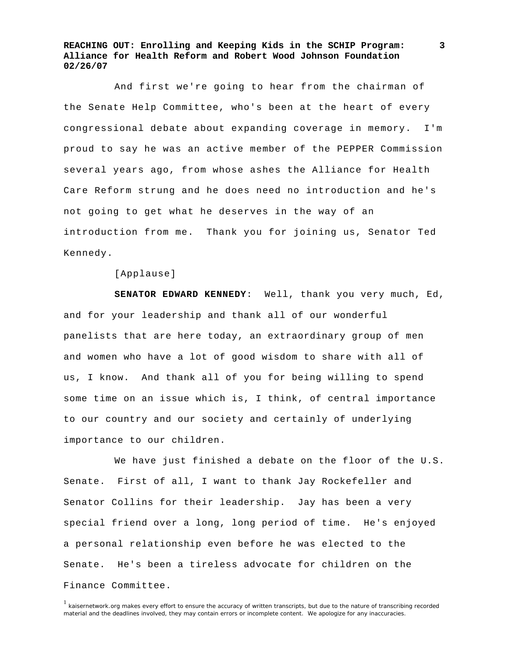And first we're going to hear from the chairman of the Senate Help Committee, who's been at the heart of every congressional debate about expanding coverage in memory. I'm proud to say he was an active member of the PEPPER Commission several years ago, from whose ashes the Alliance for Health Care Reform strung and he does need no introduction and he's not going to get what he deserves in the way of an introduction from me. Thank you for joining us, Senator Ted Kennedy.

[Applause]

**SENATOR EDWARD KENNEDY**: Well, thank you very much, Ed, and for your leadership and thank all of our wonderful panelists that are here today, an extraordinary group of men and women who have a lot of good wisdom to share with all of us, I know. And thank all of you for being willing to spend some time on an issue which is, I think, of central importance to our country and our society and certainly of underlying importance to our children.

 We have just finished a debate on the floor of the U.S. Senate. First of all, I want to thank Jay Rockefeller and Senator Collins for their leadership. Jay has been a very special friend over a long, long period of time. He's enjoyed a personal relationship even before he was elected to the Senate. He's been a tireless advocate for children on the Finance Committee.

<sup>&</sup>lt;sup>1</sup> kaisernetwork.org makes every effort to ensure the accuracy of written transcripts, but due to the nature of transcribing recorded material and the deadlines involved, they may contain errors or incomplete content. We apologize for any inaccuracies.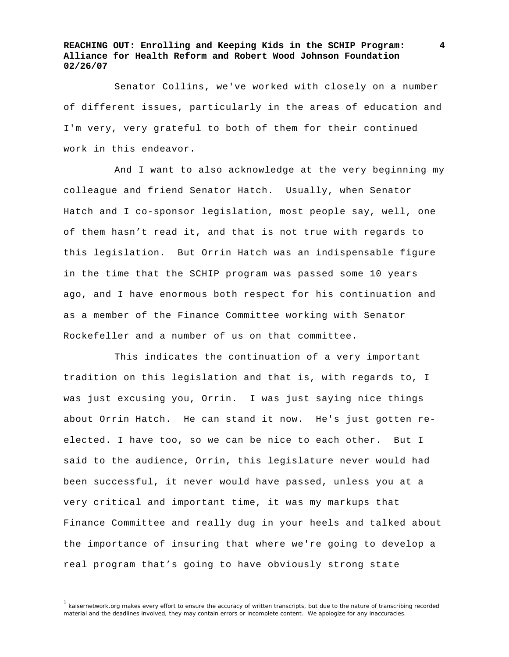Senator Collins, we've worked with closely on a number of different issues, particularly in the areas of education and I'm very, very grateful to both of them for their continued work in this endeavor.

 And I want to also acknowledge at the very beginning my colleague and friend Senator Hatch. Usually, when Senator Hatch and I co-sponsor legislation, most people say, well, one of them hasn't read it, and that is not true with regards to this legislation. But Orrin Hatch was an indispensable figure in the time that the SCHIP program was passed some 10 years ago, and I have enormous both respect for his continuation and as a member of the Finance Committee working with Senator Rockefeller and a number of us on that committee.

 This indicates the continuation of a very important tradition on this legislation and that is, with regards to, I was just excusing you, Orrin. I was just saying nice things about Orrin Hatch. He can stand it now. He's just gotten reelected. I have too, so we can be nice to each other. But I said to the audience, Orrin, this legislature never would had been successful, it never would have passed, unless you at a very critical and important time, it was my markups that Finance Committee and really dug in your heels and talked about the importance of insuring that where we're going to develop a real program that's going to have obviously strong state

<sup>1</sup> kaisernetwork.org makes every effort to ensure the accuracy of written transcripts, but due to the nature of transcribing recorded material and the deadlines involved, they may contain errors or incomplete content. We apologize for any inaccuracies.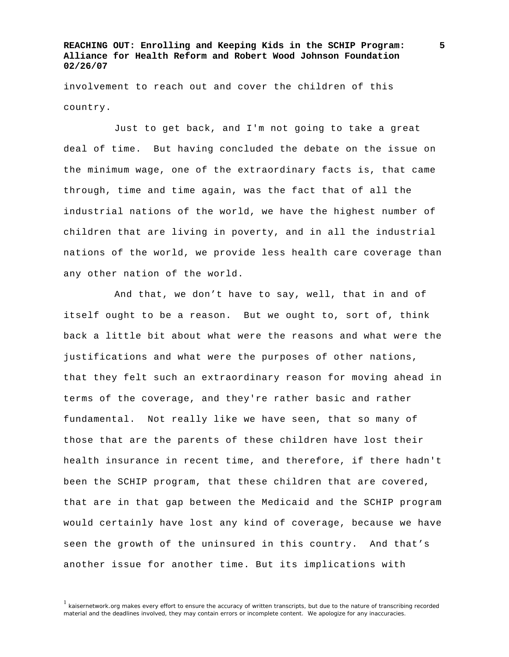involvement to reach out and cover the children of this country.

 Just to get back, and I'm not going to take a great deal of time. But having concluded the debate on the issue on the minimum wage, one of the extraordinary facts is, that came through, time and time again, was the fact that of all the industrial nations of the world, we have the highest number of children that are living in poverty, and in all the industrial nations of the world, we provide less health care coverage than any other nation of the world.

 And that, we don't have to say, well, that in and of itself ought to be a reason. But we ought to, sort of, think back a little bit about what were the reasons and what were the justifications and what were the purposes of other nations, that they felt such an extraordinary reason for moving ahead in terms of the coverage, and they're rather basic and rather fundamental. Not really like we have seen, that so many of those that are the parents of these children have lost their health insurance in recent time, and therefore, if there hadn't been the SCHIP program, that these children that are covered, that are in that gap between the Medicaid and the SCHIP program would certainly have lost any kind of coverage, because we have seen the growth of the uninsured in this country. And that's another issue for another time. But its implications with

 $<sup>1</sup>$  kaisernetwork.org makes every effort to ensure the accuracy of written transcripts, but due to the nature of transcribing recorded</sup> material and the deadlines involved, they may contain errors or incomplete content. We apologize for any inaccuracies.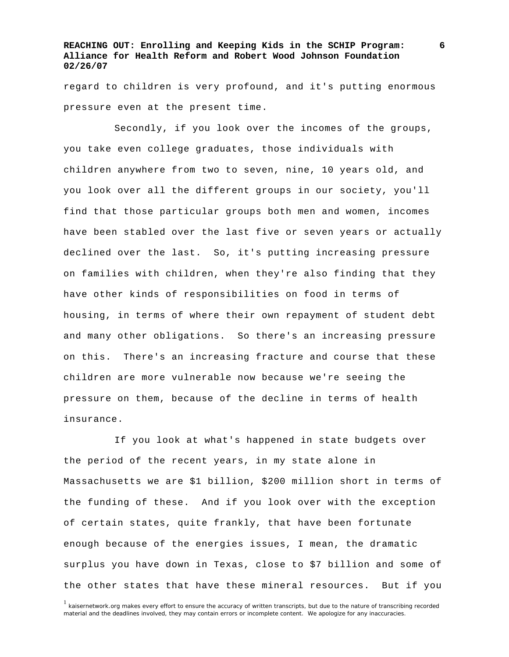regard to children is very profound, and it's putting enormous pressure even at the present time.

 Secondly, if you look over the incomes of the groups, you take even college graduates, those individuals with children anywhere from two to seven, nine, 10 years old, and you look over all the different groups in our society, you'll find that those particular groups both men and women, incomes have been stabled over the last five or seven years or actually declined over the last. So, it's putting increasing pressure on families with children, when they're also finding that they have other kinds of responsibilities on food in terms of housing, in terms of where their own repayment of student debt and many other obligations. So there's an increasing pressure on this. There's an increasing fracture and course that these children are more vulnerable now because we're seeing the pressure on them, because of the decline in terms of health insurance.

 If you look at what's happened in state budgets over the period of the recent years, in my state alone in Massachusetts we are \$1 billion, \$200 million short in terms of the funding of these. And if you look over with the exception of certain states, quite frankly, that have been fortunate enough because of the energies issues, I mean, the dramatic surplus you have down in Texas, close to \$7 billion and some of the other states that have these mineral resources. But if you

<sup>1</sup> kaisernetwork.org makes every effort to ensure the accuracy of written transcripts, but due to the nature of transcribing recorded material and the deadlines involved, they may contain errors or incomplete content. We apologize for any inaccuracies.

**<sup>6</sup>**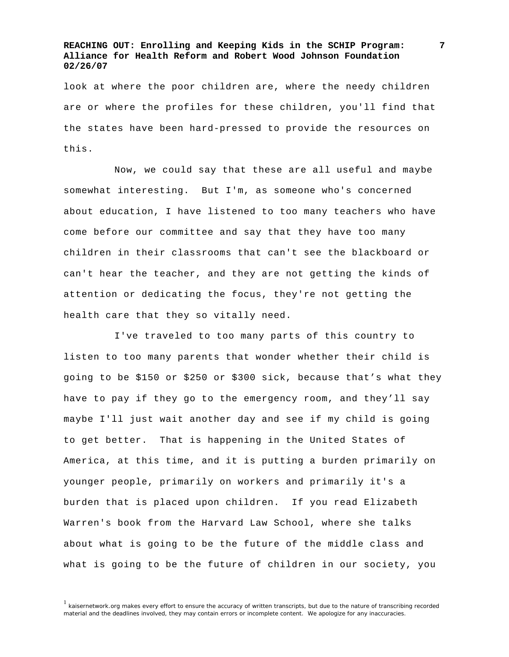look at where the poor children are, where the needy children are or where the profiles for these children, you'll find that the states have been hard-pressed to provide the resources on this.

 Now, we could say that these are all useful and maybe somewhat interesting. But I'm, as someone who's concerned about education, I have listened to too many teachers who have come before our committee and say that they have too many children in their classrooms that can't see the blackboard or can't hear the teacher, and they are not getting the kinds of attention or dedicating the focus, they're not getting the health care that they so vitally need.

 I've traveled to too many parts of this country to listen to too many parents that wonder whether their child is going to be \$150 or \$250 or \$300 sick, because that's what they have to pay if they go to the emergency room, and they'll say maybe I'll just wait another day and see if my child is going to get better. That is happening in the United States of America, at this time, and it is putting a burden primarily on younger people, primarily on workers and primarily it's a burden that is placed upon children. If you read Elizabeth Warren's book from the Harvard Law School, where she talks about what is going to be the future of the middle class and what is going to be the future of children in our society, you

 $<sup>1</sup>$  kaisernetwork.org makes every effort to ensure the accuracy of written transcripts, but due to the nature of transcribing recorded</sup> material and the deadlines involved, they may contain errors or incomplete content. We apologize for any inaccuracies.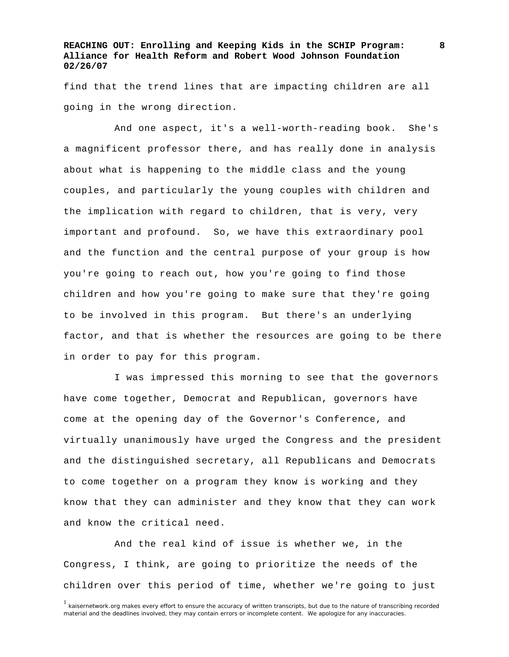find that the trend lines that are impacting children are all going in the wrong direction.

 And one aspect, it's a well-worth-reading book. She's a magnificent professor there, and has really done in analysis about what is happening to the middle class and the young couples, and particularly the young couples with children and the implication with regard to children, that is very, very important and profound. So, we have this extraordinary pool and the function and the central purpose of your group is how you're going to reach out, how you're going to find those children and how you're going to make sure that they're going to be involved in this program. But there's an underlying factor, and that is whether the resources are going to be there in order to pay for this program.

 I was impressed this morning to see that the governors have come together, Democrat and Republican, governors have come at the opening day of the Governor's Conference, and virtually unanimously have urged the Congress and the president and the distinguished secretary, all Republicans and Democrats to come together on a program they know is working and they know that they can administer and they know that they can work and know the critical need.

 And the real kind of issue is whether we, in the Congress, I think, are going to prioritize the needs of the children over this period of time, whether we're going to just

<sup>&</sup>lt;sup>1</sup> kaisernetwork.org makes every effort to ensure the accuracy of written transcripts, but due to the nature of transcribing recorded material and the deadlines involved, they may contain errors or incomplete content. We apologize for any inaccuracies.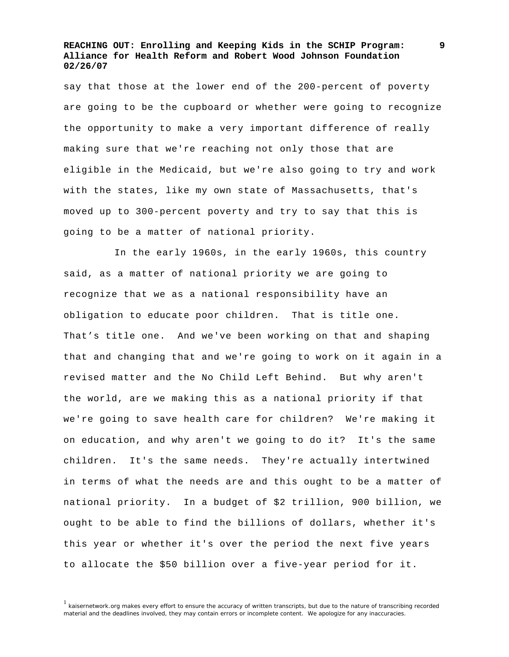say that those at the lower end of the 200-percent of poverty are going to be the cupboard or whether were going to recognize the opportunity to make a very important difference of really making sure that we're reaching not only those that are eligible in the Medicaid, but we're also going to try and work with the states, like my own state of Massachusetts, that's moved up to 300-percent poverty and try to say that this is going to be a matter of national priority.

 In the early 1960s, in the early 1960s, this country said, as a matter of national priority we are going to recognize that we as a national responsibility have an obligation to educate poor children. That is title one. That's title one. And we've been working on that and shaping that and changing that and we're going to work on it again in a revised matter and the No Child Left Behind. But why aren't the world, are we making this as a national priority if that we're going to save health care for children? We're making it on education, and why aren't we going to do it? It's the same children. It's the same needs. They're actually intertwined in terms of what the needs are and this ought to be a matter of national priority. In a budget of \$2 trillion, 900 billion, we ought to be able to find the billions of dollars, whether it's this year or whether it's over the period the next five years to allocate the \$50 billion over a five-year period for it.

 $<sup>1</sup>$  kaisernetwork.org makes every effort to ensure the accuracy of written transcripts, but due to the nature of transcribing recorded</sup> material and the deadlines involved, they may contain errors or incomplete content. We apologize for any inaccuracies.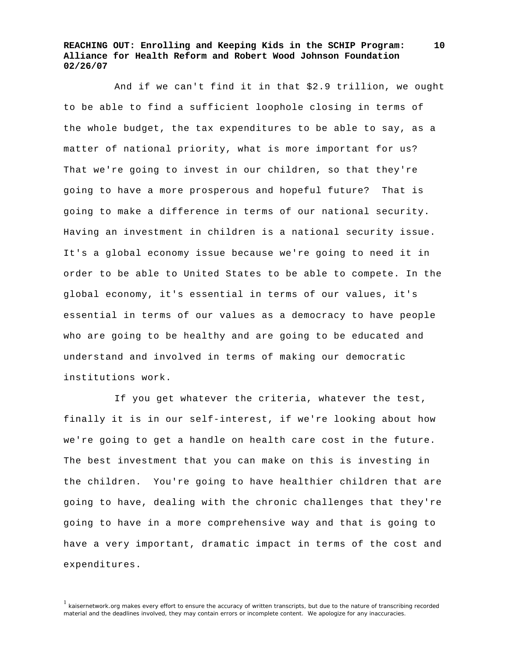And if we can't find it in that \$2.9 trillion, we ought to be able to find a sufficient loophole closing in terms of the whole budget, the tax expenditures to be able to say, as a matter of national priority, what is more important for us? That we're going to invest in our children, so that they're going to have a more prosperous and hopeful future? That is going to make a difference in terms of our national security. Having an investment in children is a national security issue. It's a global economy issue because we're going to need it in order to be able to United States to be able to compete. In the global economy, it's essential in terms of our values, it's essential in terms of our values as a democracy to have people who are going to be healthy and are going to be educated and understand and involved in terms of making our democratic institutions work.

 If you get whatever the criteria, whatever the test, finally it is in our self-interest, if we're looking about how we're going to get a handle on health care cost in the future. The best investment that you can make on this is investing in the children. You're going to have healthier children that are going to have, dealing with the chronic challenges that they're going to have in a more comprehensive way and that is going to have a very important, dramatic impact in terms of the cost and expenditures.

 $<sup>1</sup>$  kaisernetwork.org makes every effort to ensure the accuracy of written transcripts, but due to the nature of transcribing recorded</sup> material and the deadlines involved, they may contain errors or incomplete content. We apologize for any inaccuracies.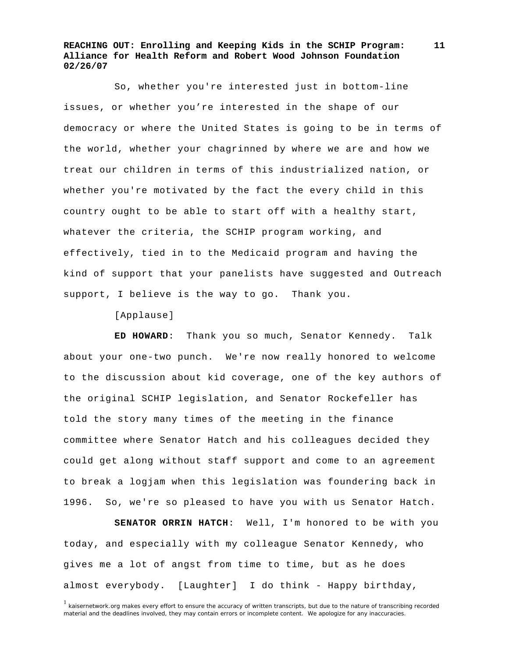So, whether you're interested just in bottom-line issues, or whether you're interested in the shape of our democracy or where the United States is going to be in terms of the world, whether your chagrinned by where we are and how we treat our children in terms of this industrialized nation, or whether you're motivated by the fact the every child in this country ought to be able to start off with a healthy start, whatever the criteria, the SCHIP program working, and effectively, tied in to the Medicaid program and having the kind of support that your panelists have suggested and Outreach support, I believe is the way to go. Thank you.

[Applause]

**ED HOWARD**: Thank you so much, Senator Kennedy. Talk about your one-two punch. We're now really honored to welcome to the discussion about kid coverage, one of the key authors of the original SCHIP legislation, and Senator Rockefeller has told the story many times of the meeting in the finance committee where Senator Hatch and his colleagues decided they could get along without staff support and come to an agreement to break a logjam when this legislation was foundering back in 1996. So, we're so pleased to have you with us Senator Hatch.

**SENATOR ORRIN HATCH**: Well, I'm honored to be with you today, and especially with my colleague Senator Kennedy, who gives me a lot of angst from time to time, but as he does almost everybody. [Laughter] I do think - Happy birthday,

<sup>&</sup>lt;sup>1</sup> kaisernetwork.org makes every effort to ensure the accuracy of written transcripts, but due to the nature of transcribing recorded material and the deadlines involved, they may contain errors or incomplete content. We apologize for any inaccuracies.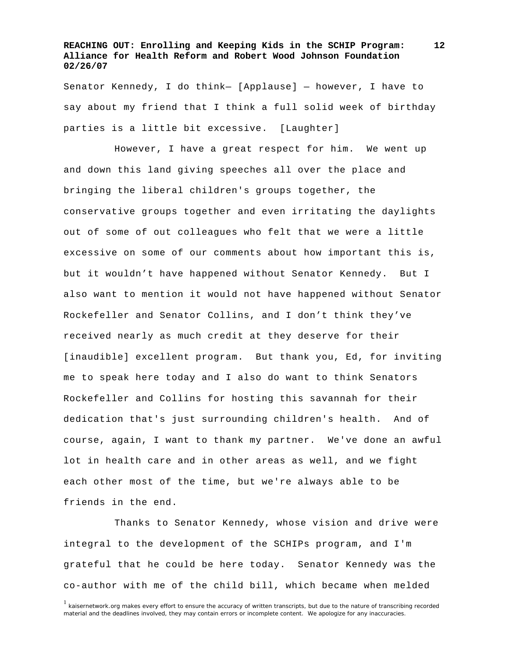Senator Kennedy, I do think— [Applause] — however, I have to say about my friend that I think a full solid week of birthday parties is a little bit excessive. [Laughter]

 However, I have a great respect for him. We went up and down this land giving speeches all over the place and bringing the liberal children's groups together, the conservative groups together and even irritating the daylights out of some of out colleagues who felt that we were a little excessive on some of our comments about how important this is, but it wouldn't have happened without Senator Kennedy. But I also want to mention it would not have happened without Senator Rockefeller and Senator Collins, and I don't think they've received nearly as much credit at they deserve for their [inaudible] excellent program. But thank you, Ed, for inviting me to speak here today and I also do want to think Senators Rockefeller and Collins for hosting this savannah for their dedication that's just surrounding children's health. And of course, again, I want to thank my partner. We've done an awful lot in health care and in other areas as well, and we fight each other most of the time, but we're always able to be friends in the end.

 Thanks to Senator Kennedy, whose vision and drive were integral to the development of the SCHIPs program, and I'm grateful that he could be here today. Senator Kennedy was the co-author with me of the child bill, which became when melded

<sup>&</sup>lt;sup>1</sup> kaisernetwork.org makes every effort to ensure the accuracy of written transcripts, but due to the nature of transcribing recorded material and the deadlines involved, they may contain errors or incomplete content. We apologize for any inaccuracies.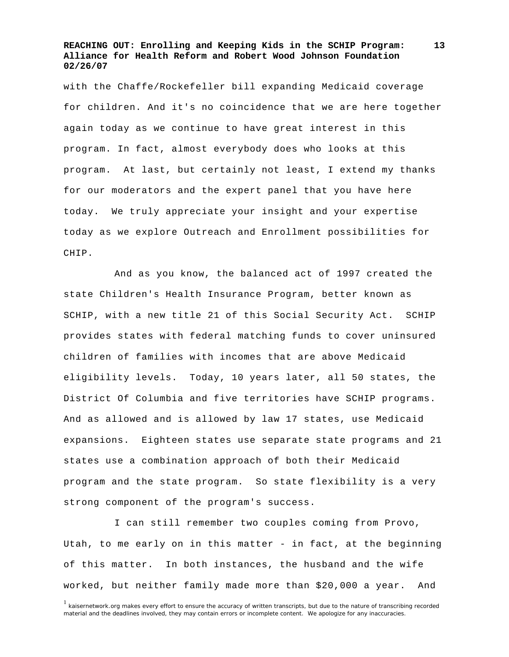with the Chaffe/Rockefeller bill expanding Medicaid coverage for children. And it's no coincidence that we are here together again today as we continue to have great interest in this program. In fact, almost everybody does who looks at this program. At last, but certainly not least, I extend my thanks for our moderators and the expert panel that you have here today. We truly appreciate your insight and your expertise today as we explore Outreach and Enrollment possibilities for CHIP.

 And as you know, the balanced act of 1997 created the state Children's Health Insurance Program, better known as SCHIP, with a new title 21 of this Social Security Act. SCHIP provides states with federal matching funds to cover uninsured children of families with incomes that are above Medicaid eligibility levels. Today, 10 years later, all 50 states, the District Of Columbia and five territories have SCHIP programs. And as allowed and is allowed by law 17 states, use Medicaid expansions. Eighteen states use separate state programs and 21 states use a combination approach of both their Medicaid program and the state program. So state flexibility is a very strong component of the program's success.

 I can still remember two couples coming from Provo, Utah, to me early on in this matter - in fact, at the beginning of this matter. In both instances, the husband and the wife worked, but neither family made more than \$20,000 a year. And

<sup>&</sup>lt;sup>1</sup> kaisernetwork.org makes every effort to ensure the accuracy of written transcripts, but due to the nature of transcribing recorded material and the deadlines involved, they may contain errors or incomplete content. We apologize for any inaccuracies.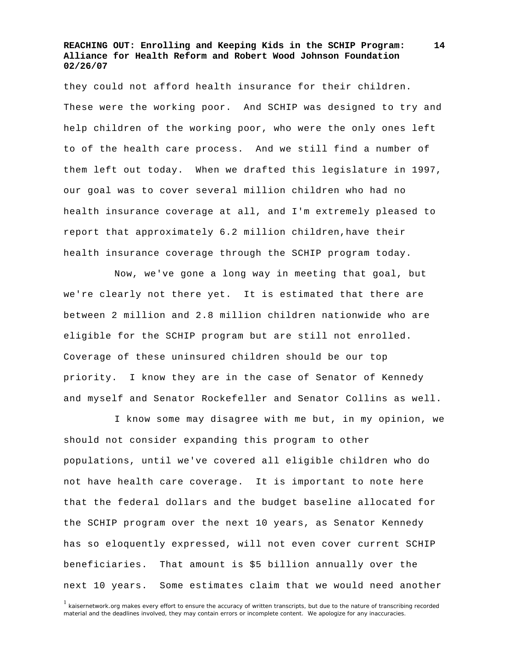they could not afford health insurance for their children. These were the working poor. And SCHIP was designed to try and help children of the working poor, who were the only ones left to of the health care process. And we still find a number of them left out today. When we drafted this legislature in 1997, our goal was to cover several million children who had no health insurance coverage at all, and I'm extremely pleased to report that approximately 6.2 million children,have their health insurance coverage through the SCHIP program today.

 Now, we've gone a long way in meeting that goal, but we're clearly not there yet. It is estimated that there are between 2 million and 2.8 million children nationwide who are eligible for the SCHIP program but are still not enrolled. Coverage of these uninsured children should be our top priority. I know they are in the case of Senator of Kennedy and myself and Senator Rockefeller and Senator Collins as well.

 I know some may disagree with me but, in my opinion, we should not consider expanding this program to other populations, until we've covered all eligible children who do not have health care coverage. It is important to note here that the federal dollars and the budget baseline allocated for the SCHIP program over the next 10 years, as Senator Kennedy has so eloquently expressed, will not even cover current SCHIP beneficiaries. That amount is \$5 billion annually over the next 10 years. Some estimates claim that we would need another

<sup>1</sup> kaisernetwork.org makes every effort to ensure the accuracy of written transcripts, but due to the nature of transcribing recorded material and the deadlines involved, they may contain errors or incomplete content. We apologize for any inaccuracies.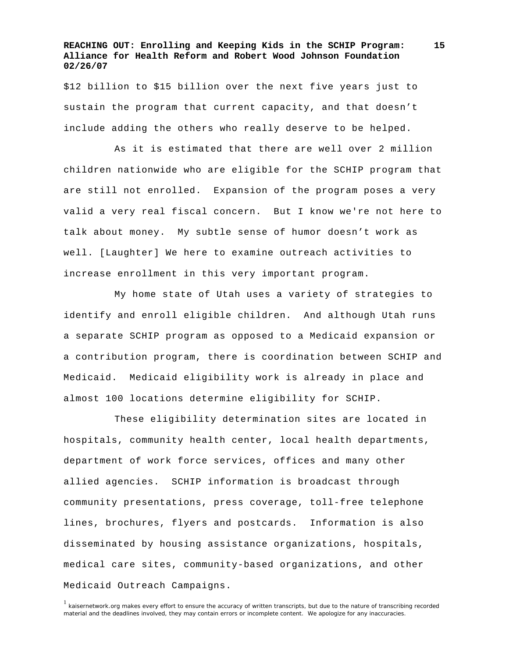\$12 billion to \$15 billion over the next five years just to sustain the program that current capacity, and that doesn't include adding the others who really deserve to be helped.

 As it is estimated that there are well over 2 million children nationwide who are eligible for the SCHIP program that are still not enrolled. Expansion of the program poses a very valid a very real fiscal concern. But I know we're not here to talk about money. My subtle sense of humor doesn't work as well. [Laughter] We here to examine outreach activities to increase enrollment in this very important program.

 My home state of Utah uses a variety of strategies to identify and enroll eligible children. And although Utah runs a separate SCHIP program as opposed to a Medicaid expansion or a contribution program, there is coordination between SCHIP and Medicaid. Medicaid eligibility work is already in place and almost 100 locations determine eligibility for SCHIP.

 These eligibility determination sites are located in hospitals, community health center, local health departments, department of work force services, offices and many other allied agencies. SCHIP information is broadcast through community presentations, press coverage, toll-free telephone lines, brochures, flyers and postcards. Information is also disseminated by housing assistance organizations, hospitals, medical care sites, community-based organizations, and other Medicaid Outreach Campaigns.

<sup>1</sup> kaisernetwork.org makes every effort to ensure the accuracy of written transcripts, but due to the nature of transcribing recorded material and the deadlines involved, they may contain errors or incomplete content. We apologize for any inaccuracies.

**<sup>15</sup>**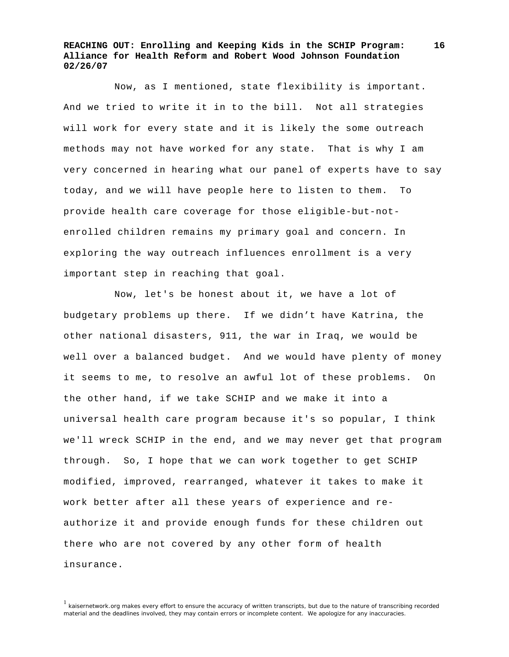**16**

 Now, as I mentioned, state flexibility is important. And we tried to write it in to the bill. Not all strategies will work for every state and it is likely the some outreach methods may not have worked for any state. That is why I am very concerned in hearing what our panel of experts have to say today, and we will have people here to listen to them. To provide health care coverage for those eligible-but-notenrolled children remains my primary goal and concern. In exploring the way outreach influences enrollment is a very important step in reaching that goal.

 Now, let's be honest about it, we have a lot of budgetary problems up there. If we didn't have Katrina, the other national disasters, 911, the war in Iraq, we would be well over a balanced budget. And we would have plenty of money it seems to me, to resolve an awful lot of these problems. On the other hand, if we take SCHIP and we make it into a universal health care program because it's so popular, I think we'll wreck SCHIP in the end, and we may never get that program through. So, I hope that we can work together to get SCHIP modified, improved, rearranged, whatever it takes to make it work better after all these years of experience and reauthorize it and provide enough funds for these children out there who are not covered by any other form of health insurance.

<sup>1</sup> kaisernetwork.org makes every effort to ensure the accuracy of written transcripts, but due to the nature of transcribing recorded material and the deadlines involved, they may contain errors or incomplete content. We apologize for any inaccuracies.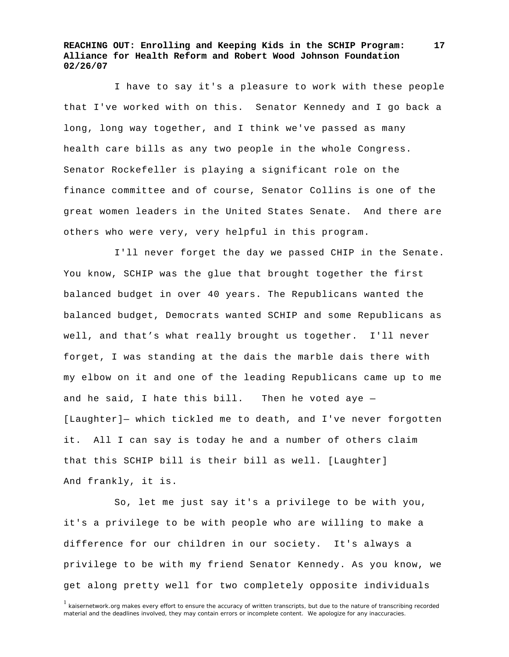**17**

 I have to say it's a pleasure to work with these people that I've worked with on this. Senator Kennedy and I go back a long, long way together, and I think we've passed as many health care bills as any two people in the whole Congress. Senator Rockefeller is playing a significant role on the finance committee and of course, Senator Collins is one of the great women leaders in the United States Senate. And there are others who were very, very helpful in this program.

 I'll never forget the day we passed CHIP in the Senate. You know, SCHIP was the glue that brought together the first balanced budget in over 40 years. The Republicans wanted the balanced budget, Democrats wanted SCHIP and some Republicans as well, and that's what really brought us together. I'll never forget, I was standing at the dais the marble dais there with my elbow on it and one of the leading Republicans came up to me and he said, I hate this bill. Then he voted aye  $-$ [Laughter]— which tickled me to death, and I've never forgotten it. All I can say is today he and a number of others claim that this SCHIP bill is their bill as well. [Laughter] And frankly, it is.

 So, let me just say it's a privilege to be with you, it's a privilege to be with people who are willing to make a difference for our children in our society. It's always a privilege to be with my friend Senator Kennedy. As you know, we get along pretty well for two completely opposite individuals

<sup>&</sup>lt;sup>1</sup> kaisernetwork.org makes every effort to ensure the accuracy of written transcripts, but due to the nature of transcribing recorded material and the deadlines involved, they may contain errors or incomplete content. We apologize for any inaccuracies.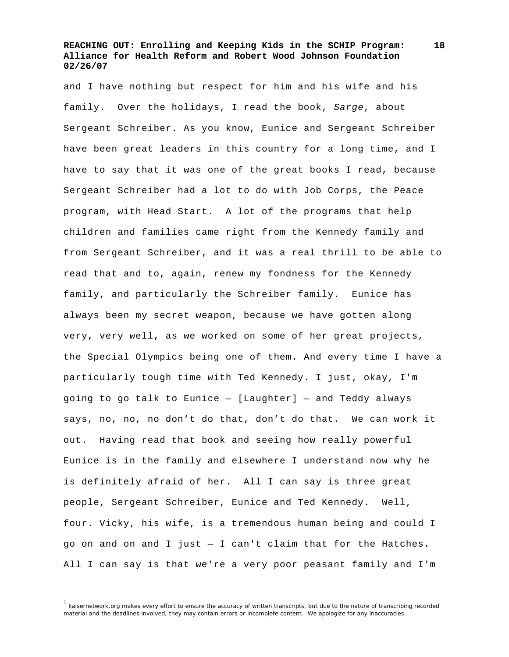and I have nothing but respect for him and his wife and his family. Over the holidays, I read the book, *Sarge*, about Sergeant Schreiber. As you know, Eunice and Sergeant Schreiber have been great leaders in this country for a long time, and I have to say that it was one of the great books I read, because Sergeant Schreiber had a lot to do with Job Corps, the Peace program, with Head Start. A lot of the programs that help children and families came right from the Kennedy family and from Sergeant Schreiber, and it was a real thrill to be able to read that and to, again, renew my fondness for the Kennedy family, and particularly the Schreiber family. Eunice has always been my secret weapon, because we have gotten along very, very well, as we worked on some of her great projects, the Special Olympics being one of them. And every time I have a particularly tough time with Ted Kennedy. I just, okay, I'm going to go talk to Eunice — [Laughter] — and Teddy always says, no, no, no don't do that, don't do that. We can work it out. Having read that book and seeing how really powerful Eunice is in the family and elsewhere I understand now why he is definitely afraid of her. All I can say is three great people, Sergeant Schreiber, Eunice and Ted Kennedy. Well, four. Vicky, his wife, is a tremendous human being and could I go on and on and I just — I can't claim that for the Hatches. All I can say is that we're a very poor peasant family and I'm

<sup>1</sup> kaisernetwork.org makes every effort to ensure the accuracy of written transcripts, but due to the nature of transcribing recorded material and the deadlines involved, they may contain errors or incomplete content. We apologize for any inaccuracies.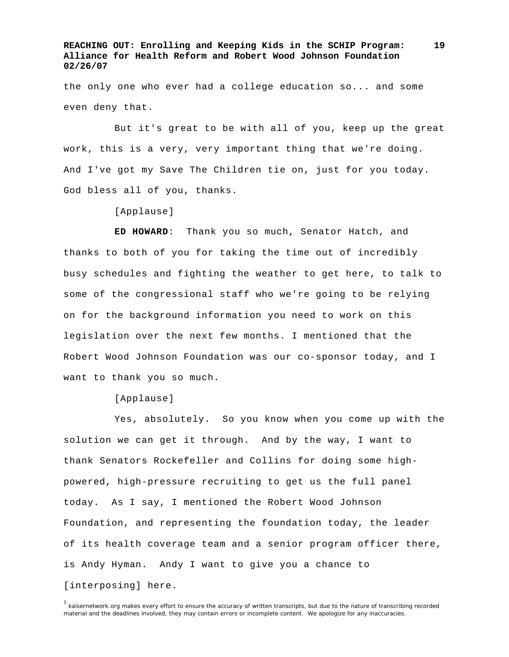the only one who ever had a college education so... and some even deny that.

 But it's great to be with all of you, keep up the great work, this is a very, very important thing that we're doing. And I've got my Save The Children tie on, just for you today. God bless all of you, thanks.

[Applause]

 **ED HOWARD**: Thank you so much, Senator Hatch, and thanks to both of you for taking the time out of incredibly busy schedules and fighting the weather to get here, to talk to some of the congressional staff who we're going to be relying on for the background information you need to work on this legislation over the next few months. I mentioned that the Robert Wood Johnson Foundation was our co-sponsor today, and I want to thank you so much.

[Applause]

 Yes, absolutely. So you know when you come up with the solution we can get it through. And by the way, I want to thank Senators Rockefeller and Collins for doing some highpowered, high-pressure recruiting to get us the full panel today. As I say, I mentioned the Robert Wood Johnson Foundation, and representing the foundation today, the leader of its health coverage team and a senior program officer there, is Andy Hyman. Andy I want to give you a chance to [interposing] here.

<sup>1</sup> kaisernetwork.org makes every effort to ensure the accuracy of written transcripts, but due to the nature of transcribing recorded material and the deadlines involved, they may contain errors or incomplete content. We apologize for any inaccuracies.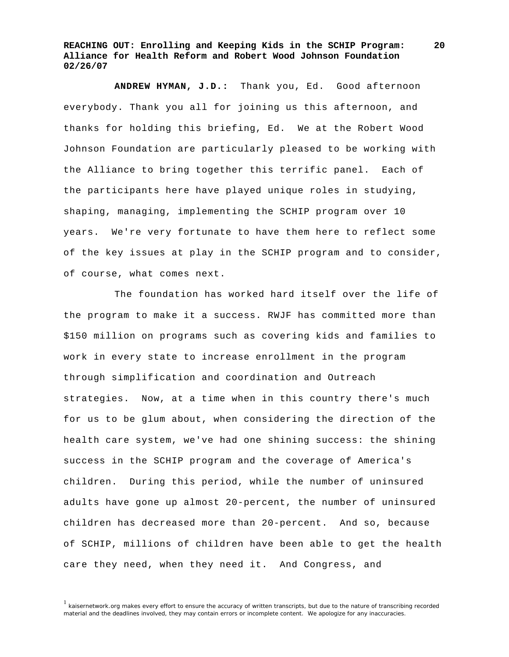**20**

**ANDREW HYMAN, J.D.:** Thank you, Ed. Good afternoon everybody. Thank you all for joining us this afternoon, and thanks for holding this briefing, Ed. We at the Robert Wood Johnson Foundation are particularly pleased to be working with the Alliance to bring together this terrific panel. Each of the participants here have played unique roles in studying, shaping, managing, implementing the SCHIP program over 10 years. We're very fortunate to have them here to reflect some of the key issues at play in the SCHIP program and to consider, of course, what comes next.

 The foundation has worked hard itself over the life of the program to make it a success. RWJF has committed more than \$150 million on programs such as covering kids and families to work in every state to increase enrollment in the program through simplification and coordination and Outreach strategies. Now, at a time when in this country there's much for us to be glum about, when considering the direction of the health care system, we've had one shining success: the shining success in the SCHIP program and the coverage of America's children. During this period, while the number of uninsured adults have gone up almost 20-percent, the number of uninsured children has decreased more than 20-percent. And so, because of SCHIP, millions of children have been able to get the health care they need, when they need it. And Congress, and

<sup>1</sup> kaisernetwork.org makes every effort to ensure the accuracy of written transcripts, but due to the nature of transcribing recorded material and the deadlines involved, they may contain errors or incomplete content. We apologize for any inaccuracies.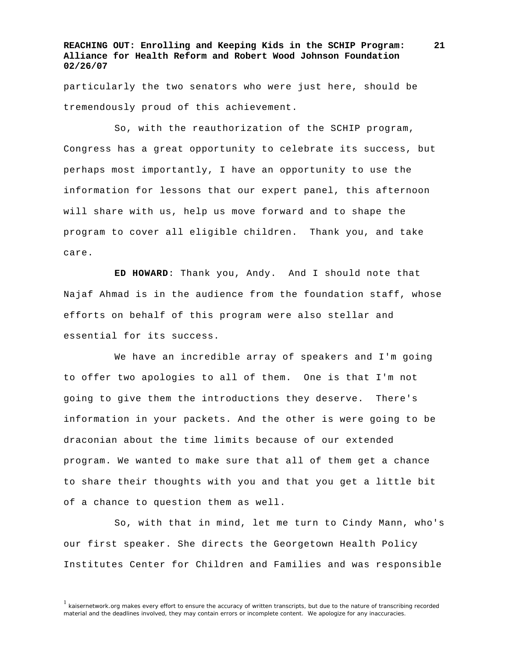particularly the two senators who were just here, should be tremendously proud of this achievement.

 So, with the reauthorization of the SCHIP program, Congress has a great opportunity to celebrate its success, but perhaps most importantly, I have an opportunity to use the information for lessons that our expert panel, this afternoon will share with us, help us move forward and to shape the program to cover all eligible children. Thank you, and take care.

 **ED HOWARD**: Thank you, Andy. And I should note that Najaf Ahmad is in the audience from the foundation staff, whose efforts on behalf of this program were also stellar and essential for its success.

 We have an incredible array of speakers and I'm going to offer two apologies to all of them. One is that I'm not going to give them the introductions they deserve. There's information in your packets. And the other is were going to be draconian about the time limits because of our extended program. We wanted to make sure that all of them get a chance to share their thoughts with you and that you get a little bit of a chance to question them as well.

 So, with that in mind, let me turn to Cindy Mann, who's our first speaker. She directs the Georgetown Health Policy Institutes Center for Children and Families and was responsible

<sup>&</sup>lt;sup>1</sup> kaisernetwork.org makes every effort to ensure the accuracy of written transcripts, but due to the nature of transcribing recorded material and the deadlines involved, they may contain errors or incomplete content. We apologize for any inaccuracies.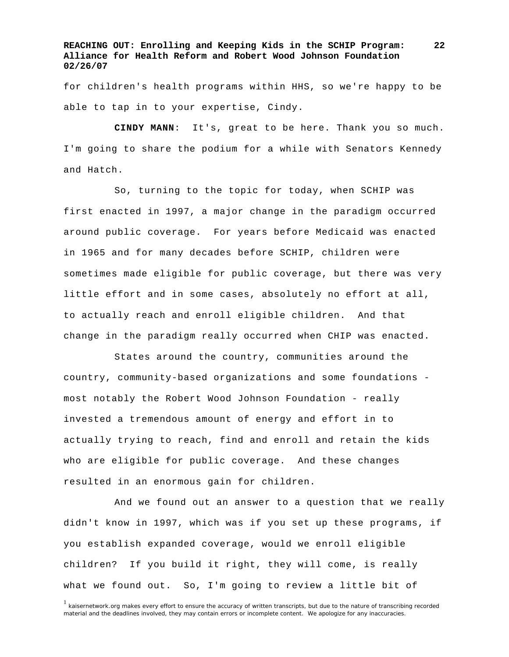for children's health programs within HHS, so we're happy to be able to tap in to your expertise, Cindy.

**CINDY MANN**: It's, great to be here. Thank you so much. I'm going to share the podium for a while with Senators Kennedy and Hatch.

 So, turning to the topic for today, when SCHIP was first enacted in 1997, a major change in the paradigm occurred around public coverage. For years before Medicaid was enacted in 1965 and for many decades before SCHIP, children were sometimes made eligible for public coverage, but there was very little effort and in some cases, absolutely no effort at all, to actually reach and enroll eligible children. And that change in the paradigm really occurred when CHIP was enacted.

 States around the country, communities around the country, community-based organizations and some foundations most notably the Robert Wood Johnson Foundation - really invested a tremendous amount of energy and effort in to actually trying to reach, find and enroll and retain the kids who are eligible for public coverage. And these changes resulted in an enormous gain for children.

 And we found out an answer to a question that we really didn't know in 1997, which was if you set up these programs, if you establish expanded coverage, would we enroll eligible children? If you build it right, they will come, is really what we found out. So, I'm going to review a little bit of

<sup>&</sup>lt;sup>1</sup> kaisernetwork.org makes every effort to ensure the accuracy of written transcripts, but due to the nature of transcribing recorded material and the deadlines involved, they may contain errors or incomplete content. We apologize for any inaccuracies.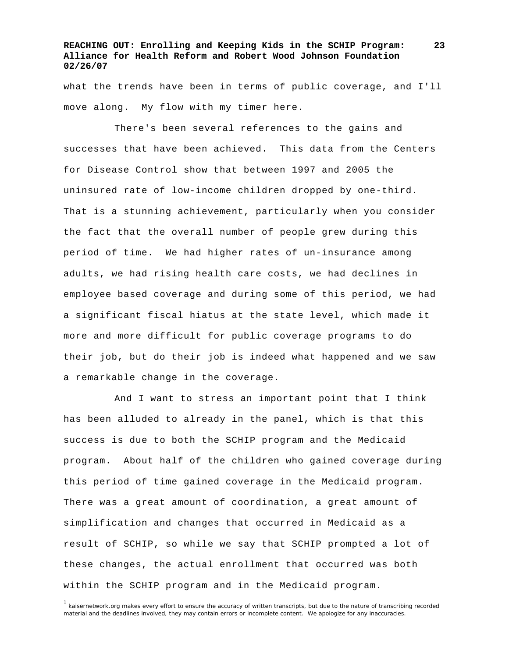what the trends have been in terms of public coverage, and I'll move along. My flow with my timer here.

 There's been several references to the gains and successes that have been achieved. This data from the Centers for Disease Control show that between 1997 and 2005 the uninsured rate of low-income children dropped by one-third. That is a stunning achievement, particularly when you consider the fact that the overall number of people grew during this period of time. We had higher rates of un-insurance among adults, we had rising health care costs, we had declines in employee based coverage and during some of this period, we had a significant fiscal hiatus at the state level, which made it more and more difficult for public coverage programs to do their job, but do their job is indeed what happened and we saw a remarkable change in the coverage.

 And I want to stress an important point that I think has been alluded to already in the panel, which is that this success is due to both the SCHIP program and the Medicaid program. About half of the children who gained coverage during this period of time gained coverage in the Medicaid program. There was a great amount of coordination, a great amount of simplification and changes that occurred in Medicaid as a result of SCHIP, so while we say that SCHIP prompted a lot of these changes, the actual enrollment that occurred was both within the SCHIP program and in the Medicaid program.

<sup>&</sup>lt;sup>1</sup> kaisernetwork.org makes every effort to ensure the accuracy of written transcripts, but due to the nature of transcribing recorded material and the deadlines involved, they may contain errors or incomplete content. We apologize for any inaccuracies.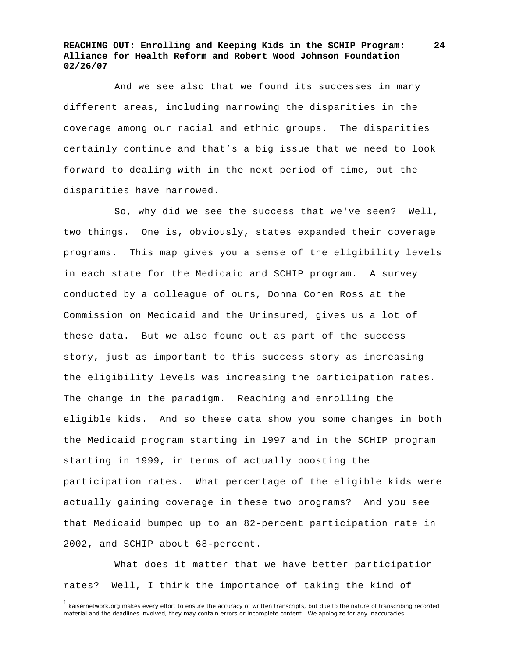And we see also that we found its successes in many different areas, including narrowing the disparities in the coverage among our racial and ethnic groups. The disparities certainly continue and that's a big issue that we need to look forward to dealing with in the next period of time, but the disparities have narrowed.

 So, why did we see the success that we've seen? Well, two things. One is, obviously, states expanded their coverage programs. This map gives you a sense of the eligibility levels in each state for the Medicaid and SCHIP program. A survey conducted by a colleague of ours, Donna Cohen Ross at the Commission on Medicaid and the Uninsured, gives us a lot of these data. But we also found out as part of the success story, just as important to this success story as increasing the eligibility levels was increasing the participation rates. The change in the paradigm. Reaching and enrolling the eligible kids. And so these data show you some changes in both the Medicaid program starting in 1997 and in the SCHIP program starting in 1999, in terms of actually boosting the participation rates. What percentage of the eligible kids were actually gaining coverage in these two programs? And you see that Medicaid bumped up to an 82-percent participation rate in 2002, and SCHIP about 68-percent.

 What does it matter that we have better participation rates? Well, I think the importance of taking the kind of

<sup>&</sup>lt;sup>1</sup> kaisernetwork.org makes every effort to ensure the accuracy of written transcripts, but due to the nature of transcribing recorded material and the deadlines involved, they may contain errors or incomplete content. We apologize for any inaccuracies.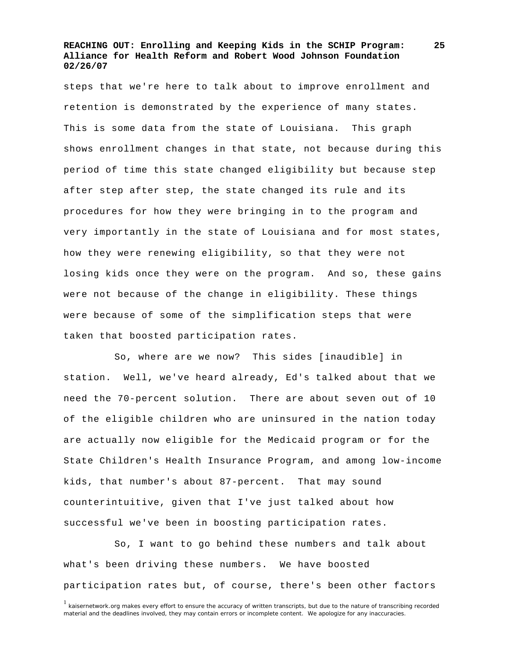steps that we're here to talk about to improve enrollment and retention is demonstrated by the experience of many states. This is some data from the state of Louisiana. This graph shows enrollment changes in that state, not because during this period of time this state changed eligibility but because step after step after step, the state changed its rule and its procedures for how they were bringing in to the program and very importantly in the state of Louisiana and for most states, how they were renewing eligibility, so that they were not losing kids once they were on the program. And so, these gains were not because of the change in eligibility. These things were because of some of the simplification steps that were taken that boosted participation rates.

 So, where are we now? This sides [inaudible] in station. Well, we've heard already, Ed's talked about that we need the 70-percent solution. There are about seven out of 10 of the eligible children who are uninsured in the nation today are actually now eligible for the Medicaid program or for the State Children's Health Insurance Program, and among low-income kids, that number's about 87-percent. That may sound counterintuitive, given that I've just talked about how successful we've been in boosting participation rates.

 So, I want to go behind these numbers and talk about what's been driving these numbers. We have boosted participation rates but, of course, there's been other factors

<sup>&</sup>lt;sup>1</sup> kaisernetwork.org makes every effort to ensure the accuracy of written transcripts, but due to the nature of transcribing recorded material and the deadlines involved, they may contain errors or incomplete content. We apologize for any inaccuracies.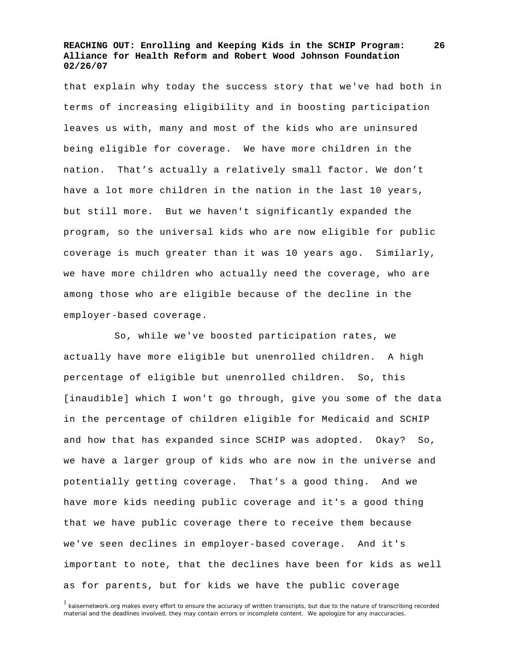that explain why today the success story that we've had both in terms of increasing eligibility and in boosting participation leaves us with, many and most of the kids who are uninsured being eligible for coverage. We have more children in the nation. That's actually a relatively small factor. We don't have a lot more children in the nation in the last 10 years, but still more. But we haven't significantly expanded the program, so the universal kids who are now eligible for public coverage is much greater than it was 10 years ago. Similarly, we have more children who actually need the coverage, who are among those who are eligible because of the decline in the employer-based coverage.

 So, while we've boosted participation rates, we actually have more eligible but unenrolled children. A high percentage of eligible but unenrolled children. So, this [inaudible] which I won't go through, give you some of the data in the percentage of children eligible for Medicaid and SCHIP and how that has expanded since SCHIP was adopted. Okay? So, we have a larger group of kids who are now in the universe and potentially getting coverage. That's a good thing. And we have more kids needing public coverage and it's a good thing that we have public coverage there to receive them because we've seen declines in employer-based coverage. And it's important to note, that the declines have been for kids as well as for parents, but for kids we have the public coverage

<sup>1</sup> kaisernetwork.org makes every effort to ensure the accuracy of written transcripts, but due to the nature of transcribing recorded material and the deadlines involved, they may contain errors or incomplete content. We apologize for any inaccuracies.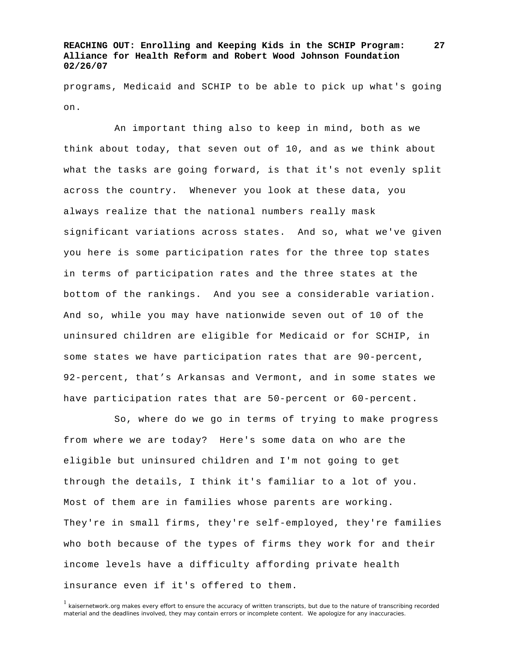programs, Medicaid and SCHIP to be able to pick up what's going on.

 An important thing also to keep in mind, both as we think about today, that seven out of 10, and as we think about what the tasks are going forward, is that it's not evenly split across the country. Whenever you look at these data, you always realize that the national numbers really mask significant variations across states. And so, what we've given you here is some participation rates for the three top states in terms of participation rates and the three states at the bottom of the rankings. And you see a considerable variation. And so, while you may have nationwide seven out of 10 of the uninsured children are eligible for Medicaid or for SCHIP, in some states we have participation rates that are 90-percent, 92-percent, that's Arkansas and Vermont, and in some states we have participation rates that are 50-percent or 60-percent.

 So, where do we go in terms of trying to make progress from where we are today? Here's some data on who are the eligible but uninsured children and I'm not going to get through the details, I think it's familiar to a lot of you. Most of them are in families whose parents are working. They're in small firms, they're self-employed, they're families who both because of the types of firms they work for and their income levels have a difficulty affording private health insurance even if it's offered to them.

<sup>1</sup> kaisernetwork.org makes every effort to ensure the accuracy of written transcripts, but due to the nature of transcribing recorded material and the deadlines involved, they may contain errors or incomplete content. We apologize for any inaccuracies.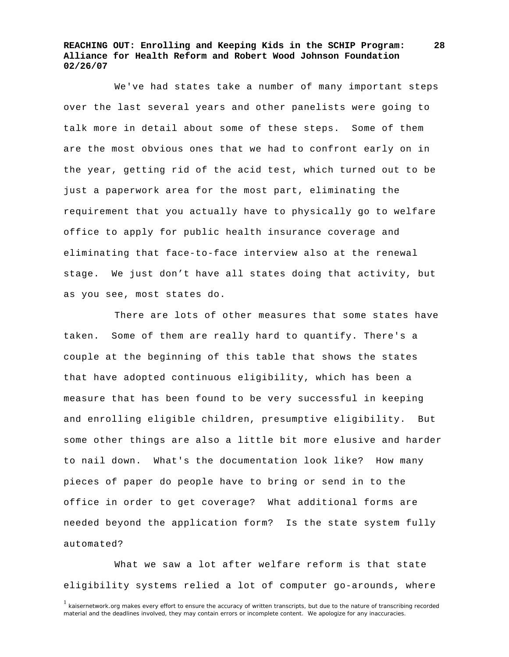We've had states take a number of many important steps over the last several years and other panelists were going to talk more in detail about some of these steps. Some of them are the most obvious ones that we had to confront early on in the year, getting rid of the acid test, which turned out to be just a paperwork area for the most part, eliminating the requirement that you actually have to physically go to welfare office to apply for public health insurance coverage and eliminating that face-to-face interview also at the renewal stage. We just don't have all states doing that activity, but as you see, most states do.

 There are lots of other measures that some states have taken. Some of them are really hard to quantify. There's a couple at the beginning of this table that shows the states that have adopted continuous eligibility, which has been a measure that has been found to be very successful in keeping and enrolling eligible children, presumptive eligibility. But some other things are also a little bit more elusive and harder to nail down. What's the documentation look like? How many pieces of paper do people have to bring or send in to the office in order to get coverage? What additional forms are needed beyond the application form? Is the state system fully automated?

 What we saw a lot after welfare reform is that state eligibility systems relied a lot of computer go-arounds, where

<sup>&</sup>lt;sup>1</sup> kaisernetwork.org makes every effort to ensure the accuracy of written transcripts, but due to the nature of transcribing recorded material and the deadlines involved, they may contain errors or incomplete content. We apologize for any inaccuracies.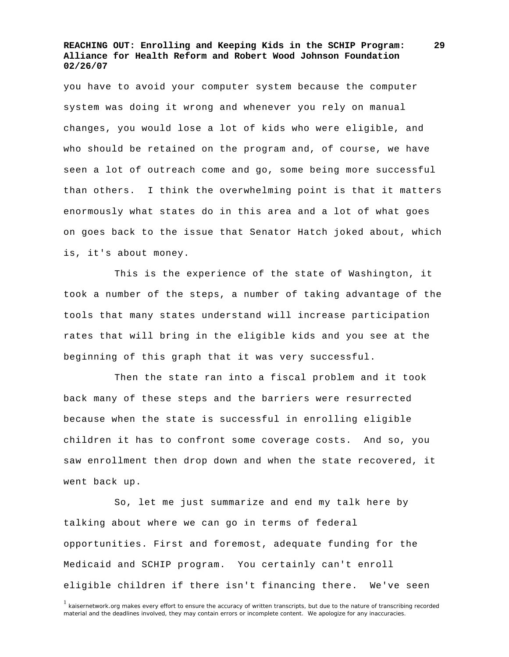you have to avoid your computer system because the computer system was doing it wrong and whenever you rely on manual changes, you would lose a lot of kids who were eligible, and who should be retained on the program and, of course, we have seen a lot of outreach come and go, some being more successful than others. I think the overwhelming point is that it matters enormously what states do in this area and a lot of what goes on goes back to the issue that Senator Hatch joked about, which is, it's about money.

 This is the experience of the state of Washington, it took a number of the steps, a number of taking advantage of the tools that many states understand will increase participation rates that will bring in the eligible kids and you see at the beginning of this graph that it was very successful.

 Then the state ran into a fiscal problem and it took back many of these steps and the barriers were resurrected because when the state is successful in enrolling eligible children it has to confront some coverage costs. And so, you saw enrollment then drop down and when the state recovered, it went back up.

 So, let me just summarize and end my talk here by talking about where we can go in terms of federal opportunities. First and foremost, adequate funding for the Medicaid and SCHIP program. You certainly can't enroll eligible children if there isn't financing there. We've seen

<sup>&</sup>lt;sup>1</sup> kaisernetwork.org makes every effort to ensure the accuracy of written transcripts, but due to the nature of transcribing recorded material and the deadlines involved, they may contain errors or incomplete content. We apologize for any inaccuracies.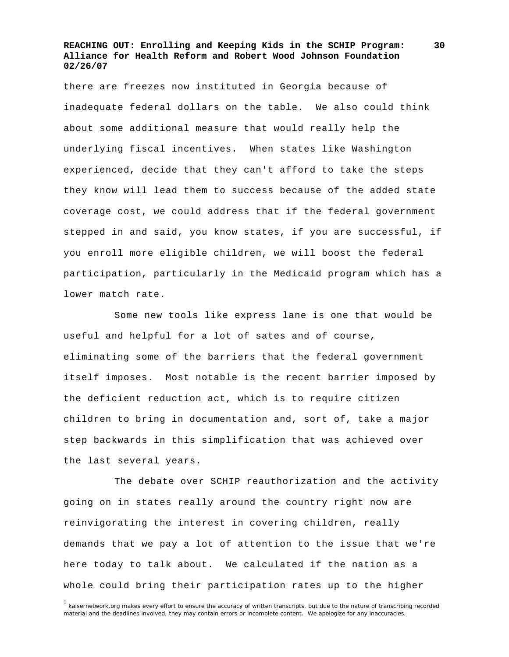there are freezes now instituted in Georgia because of inadequate federal dollars on the table. We also could think about some additional measure that would really help the underlying fiscal incentives. When states like Washington experienced, decide that they can't afford to take the steps they know will lead them to success because of the added state coverage cost, we could address that if the federal government stepped in and said, you know states, if you are successful, if you enroll more eligible children, we will boost the federal participation, particularly in the Medicaid program which has a lower match rate.

 Some new tools like express lane is one that would be useful and helpful for a lot of sates and of course, eliminating some of the barriers that the federal government itself imposes. Most notable is the recent barrier imposed by the deficient reduction act, which is to require citizen children to bring in documentation and, sort of, take a major step backwards in this simplification that was achieved over the last several years.

 The debate over SCHIP reauthorization and the activity going on in states really around the country right now are reinvigorating the interest in covering children, really demands that we pay a lot of attention to the issue that we're here today to talk about. We calculated if the nation as a whole could bring their participation rates up to the higher

<sup>&</sup>lt;sup>1</sup> kaisernetwork.org makes every effort to ensure the accuracy of written transcripts, but due to the nature of transcribing recorded material and the deadlines involved, they may contain errors or incomplete content. We apologize for any inaccuracies.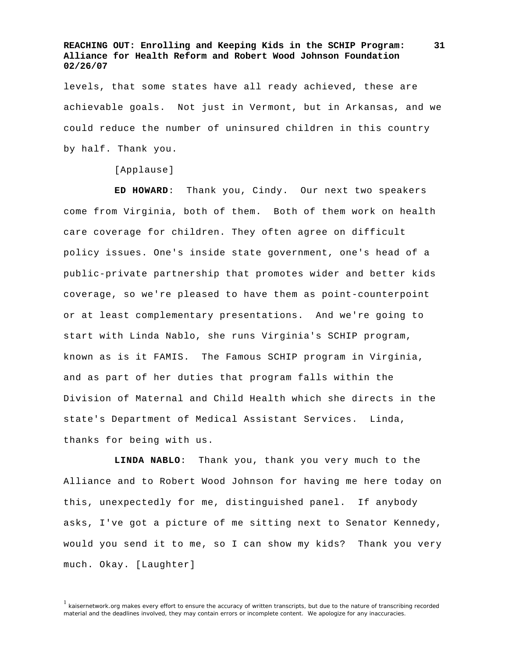levels, that some states have all ready achieved, these are achievable goals. Not just in Vermont, but in Arkansas, and we could reduce the number of uninsured children in this country by half. Thank you.

[Applause]

**ED HOWARD**: Thank you, Cindy. Our next two speakers come from Virginia, both of them. Both of them work on health care coverage for children. They often agree on difficult policy issues. One's inside state government, one's head of a public-private partnership that promotes wider and better kids coverage, so we're pleased to have them as point-counterpoint or at least complementary presentations. And we're going to start with Linda Nablo, she runs Virginia's SCHIP program, known as is it FAMIS. The Famous SCHIP program in Virginia, and as part of her duties that program falls within the Division of Maternal and Child Health which she directs in the state's Department of Medical Assistant Services. Linda, thanks for being with us.

**LINDA NABLO**: Thank you, thank you very much to the Alliance and to Robert Wood Johnson for having me here today on this, unexpectedly for me, distinguished panel. If anybody asks, I've got a picture of me sitting next to Senator Kennedy, would you send it to me, so I can show my kids? Thank you very much. Okay. [Laughter]

<sup>1</sup> kaisernetwork.org makes every effort to ensure the accuracy of written transcripts, but due to the nature of transcribing recorded material and the deadlines involved, they may contain errors or incomplete content. We apologize for any inaccuracies.

**<sup>31</sup>**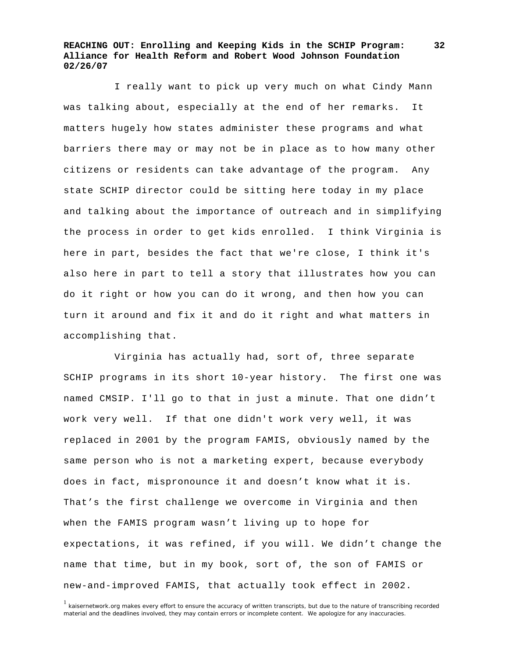I really want to pick up very much on what Cindy Mann was talking about, especially at the end of her remarks. It matters hugely how states administer these programs and what barriers there may or may not be in place as to how many other citizens or residents can take advantage of the program. Any state SCHIP director could be sitting here today in my place and talking about the importance of outreach and in simplifying the process in order to get kids enrolled. I think Virginia is here in part, besides the fact that we're close, I think it's also here in part to tell a story that illustrates how you can do it right or how you can do it wrong, and then how you can turn it around and fix it and do it right and what matters in accomplishing that.

 Virginia has actually had, sort of, three separate SCHIP programs in its short 10-year history. The first one was named CMSIP. I'll go to that in just a minute. That one didn't work very well. If that one didn't work very well, it was replaced in 2001 by the program FAMIS, obviously named by the same person who is not a marketing expert, because everybody does in fact, mispronounce it and doesn't know what it is. That's the first challenge we overcome in Virginia and then when the FAMIS program wasn't living up to hope for expectations, it was refined, if you will. We didn't change the name that time, but in my book, sort of, the son of FAMIS or new-and-improved FAMIS, that actually took effect in 2002.

<sup>1</sup> kaisernetwork.org makes every effort to ensure the accuracy of written transcripts, but due to the nature of transcribing recorded material and the deadlines involved, they may contain errors or incomplete content. We apologize for any inaccuracies.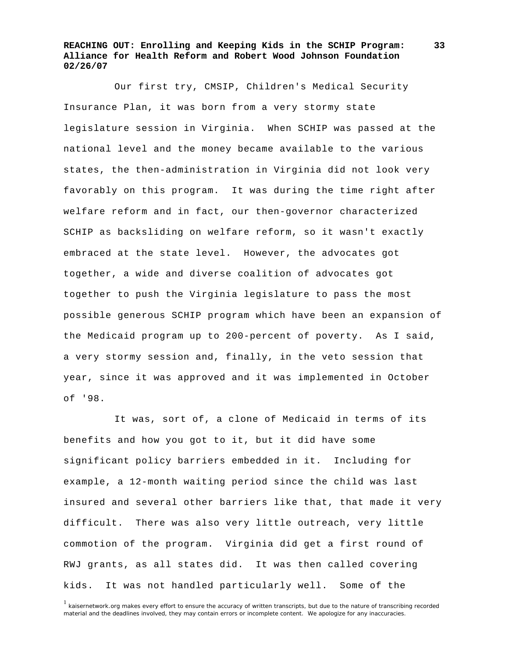Our first try, CMSIP, Children's Medical Security Insurance Plan, it was born from a very stormy state legislature session in Virginia. When SCHIP was passed at the national level and the money became available to the various states, the then-administration in Virginia did not look very favorably on this program. It was during the time right after welfare reform and in fact, our then-governor characterized SCHIP as backsliding on welfare reform, so it wasn't exactly embraced at the state level. However, the advocates got together, a wide and diverse coalition of advocates got together to push the Virginia legislature to pass the most possible generous SCHIP program which have been an expansion of the Medicaid program up to 200-percent of poverty. As I said, a very stormy session and, finally, in the veto session that year, since it was approved and it was implemented in October of '98.

 It was, sort of, a clone of Medicaid in terms of its benefits and how you got to it, but it did have some significant policy barriers embedded in it. Including for example, a 12-month waiting period since the child was last insured and several other barriers like that, that made it very difficult. There was also very little outreach, very little commotion of the program. Virginia did get a first round of RWJ grants, as all states did. It was then called covering kids. It was not handled particularly well. Some of the

<sup>1</sup> kaisernetwork.org makes every effort to ensure the accuracy of written transcripts, but due to the nature of transcribing recorded material and the deadlines involved, they may contain errors or incomplete content. We apologize for any inaccuracies.

**<sup>33</sup>**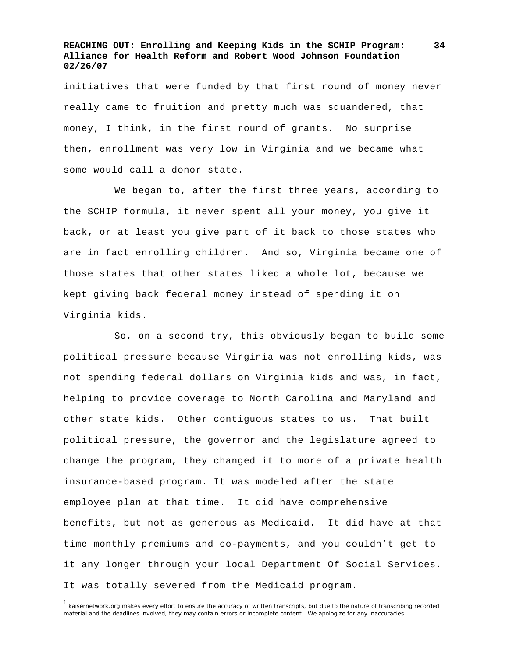initiatives that were funded by that first round of money never really came to fruition and pretty much was squandered, that money, I think, in the first round of grants. No surprise then, enrollment was very low in Virginia and we became what some would call a donor state.

 We began to, after the first three years, according to the SCHIP formula, it never spent all your money, you give it back, or at least you give part of it back to those states who are in fact enrolling children. And so, Virginia became one of those states that other states liked a whole lot, because we kept giving back federal money instead of spending it on Virginia kids.

 So, on a second try, this obviously began to build some political pressure because Virginia was not enrolling kids, was not spending federal dollars on Virginia kids and was, in fact, helping to provide coverage to North Carolina and Maryland and other state kids. Other contiguous states to us. That built political pressure, the governor and the legislature agreed to change the program, they changed it to more of a private health insurance-based program. It was modeled after the state employee plan at that time. It did have comprehensive benefits, but not as generous as Medicaid. It did have at that time monthly premiums and co-payments, and you couldn't get to it any longer through your local Department Of Social Services. It was totally severed from the Medicaid program.

<sup>1</sup> kaisernetwork.org makes every effort to ensure the accuracy of written transcripts, but due to the nature of transcribing recorded material and the deadlines involved, they may contain errors or incomplete content. We apologize for any inaccuracies.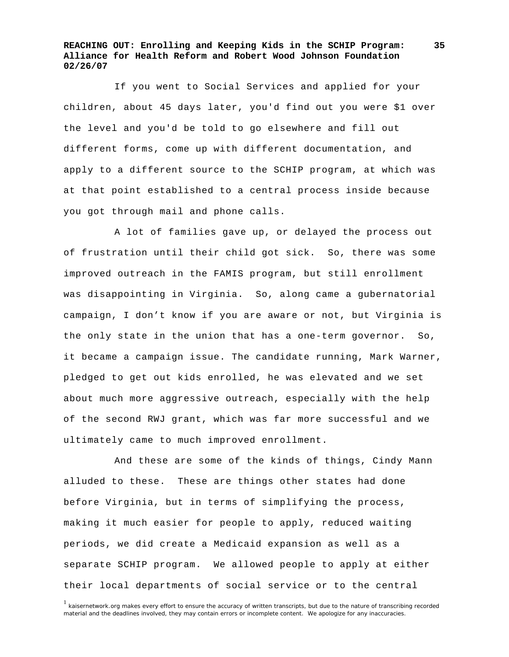If you went to Social Services and applied for your children, about 45 days later, you'd find out you were \$1 over the level and you'd be told to go elsewhere and fill out different forms, come up with different documentation, and apply to a different source to the SCHIP program, at which was at that point established to a central process inside because you got through mail and phone calls.

 A lot of families gave up, or delayed the process out of frustration until their child got sick. So, there was some improved outreach in the FAMIS program, but still enrollment was disappointing in Virginia. So, along came a gubernatorial campaign, I don't know if you are aware or not, but Virginia is the only state in the union that has a one-term governor. So, it became a campaign issue. The candidate running, Mark Warner, pledged to get out kids enrolled, he was elevated and we set about much more aggressive outreach, especially with the help of the second RWJ grant, which was far more successful and we ultimately came to much improved enrollment.

 And these are some of the kinds of things, Cindy Mann alluded to these. These are things other states had done before Virginia, but in terms of simplifying the process, making it much easier for people to apply, reduced waiting periods, we did create a Medicaid expansion as well as a separate SCHIP program. We allowed people to apply at either their local departments of social service or to the central

<sup>&</sup>lt;sup>1</sup> kaisernetwork.org makes every effort to ensure the accuracy of written transcripts, but due to the nature of transcribing recorded material and the deadlines involved, they may contain errors or incomplete content. We apologize for any inaccuracies.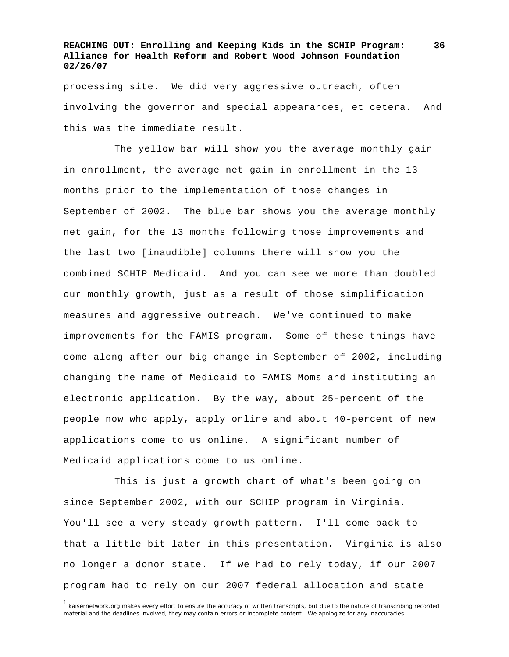processing site. We did very aggressive outreach, often involving the governor and special appearances, et cetera. And this was the immediate result.

 The yellow bar will show you the average monthly gain in enrollment, the average net gain in enrollment in the 13 months prior to the implementation of those changes in September of 2002. The blue bar shows you the average monthly net gain, for the 13 months following those improvements and the last two [inaudible] columns there will show you the combined SCHIP Medicaid. And you can see we more than doubled our monthly growth, just as a result of those simplification measures and aggressive outreach. We've continued to make improvements for the FAMIS program. Some of these things have come along after our big change in September of 2002, including changing the name of Medicaid to FAMIS Moms and instituting an electronic application. By the way, about 25-percent of the people now who apply, apply online and about 40-percent of new applications come to us online. A significant number of Medicaid applications come to us online.

 This is just a growth chart of what's been going on since September 2002, with our SCHIP program in Virginia. You'll see a very steady growth pattern. I'll come back to that a little bit later in this presentation. Virginia is also no longer a donor state. If we had to rely today, if our 2007 program had to rely on our 2007 federal allocation and state

<sup>1</sup> kaisernetwork.org makes every effort to ensure the accuracy of written transcripts, but due to the nature of transcribing recorded material and the deadlines involved, they may contain errors or incomplete content. We apologize for any inaccuracies.

**<sup>36</sup>**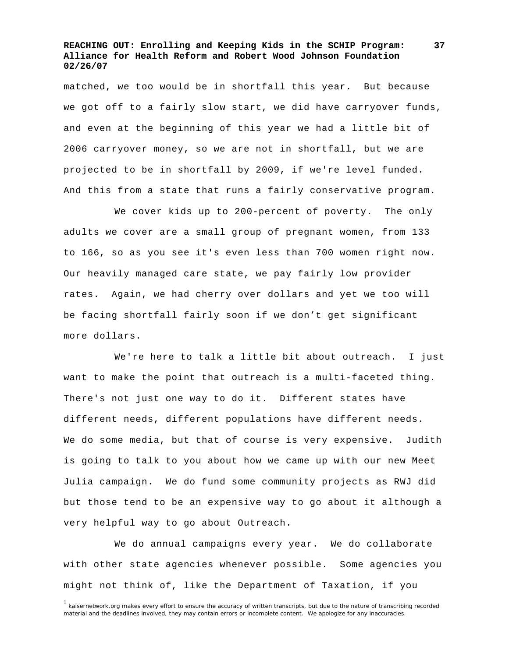matched, we too would be in shortfall this year. But because we got off to a fairly slow start, we did have carryover funds, and even at the beginning of this year we had a little bit of 2006 carryover money, so we are not in shortfall, but we are projected to be in shortfall by 2009, if we're level funded. And this from a state that runs a fairly conservative program.

 We cover kids up to 200-percent of poverty. The only adults we cover are a small group of pregnant women, from 133 to 166, so as you see it's even less than 700 women right now. Our heavily managed care state, we pay fairly low provider rates. Again, we had cherry over dollars and yet we too will be facing shortfall fairly soon if we don't get significant more dollars.

 We're here to talk a little bit about outreach. I just want to make the point that outreach is a multi-faceted thing. There's not just one way to do it. Different states have different needs, different populations have different needs. We do some media, but that of course is very expensive. Judith is going to talk to you about how we came up with our new Meet Julia campaign. We do fund some community projects as RWJ did but those tend to be an expensive way to go about it although a very helpful way to go about Outreach.

 We do annual campaigns every year. We do collaborate with other state agencies whenever possible. Some agencies you might not think of, like the Department of Taxation, if you

<sup>&</sup>lt;sup>1</sup> kaisernetwork.org makes every effort to ensure the accuracy of written transcripts, but due to the nature of transcribing recorded material and the deadlines involved, they may contain errors or incomplete content. We apologize for any inaccuracies.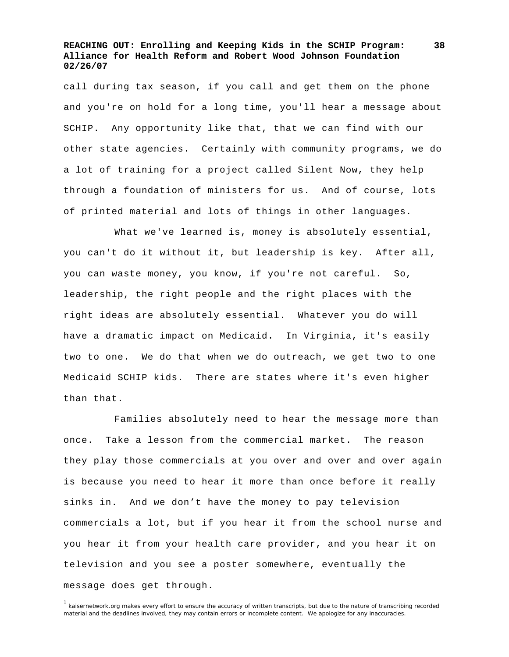call during tax season, if you call and get them on the phone and you're on hold for a long time, you'll hear a message about SCHIP. Any opportunity like that, that we can find with our other state agencies. Certainly with community programs, we do a lot of training for a project called Silent Now, they help through a foundation of ministers for us. And of course, lots of printed material and lots of things in other languages.

What we've learned is, money is absolutely essential, you can't do it without it, but leadership is key. After all, you can waste money, you know, if you're not careful. So, leadership, the right people and the right places with the right ideas are absolutely essential. Whatever you do will have a dramatic impact on Medicaid. In Virginia, it's easily two to one. We do that when we do outreach, we get two to one Medicaid SCHIP kids. There are states where it's even higher than that.

 Families absolutely need to hear the message more than once. Take a lesson from the commercial market. The reason they play those commercials at you over and over and over again is because you need to hear it more than once before it really sinks in. And we don't have the money to pay television commercials a lot, but if you hear it from the school nurse and you hear it from your health care provider, and you hear it on television and you see a poster somewhere, eventually the message does get through.

<sup>1</sup> kaisernetwork.org makes every effort to ensure the accuracy of written transcripts, but due to the nature of transcribing recorded material and the deadlines involved, they may contain errors or incomplete content. We apologize for any inaccuracies.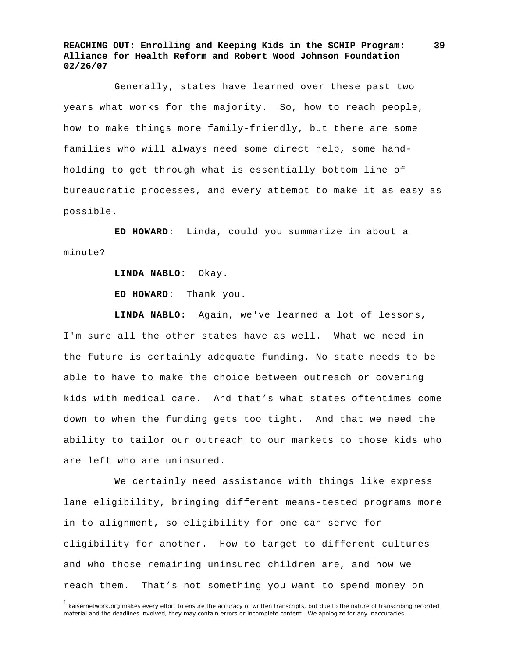Generally, states have learned over these past two years what works for the majority. So, how to reach people, how to make things more family-friendly, but there are some families who will always need some direct help, some handholding to get through what is essentially bottom line of bureaucratic processes, and every attempt to make it as easy as possible.

**ED HOWARD**: Linda, could you summarize in about a minute?

**LINDA NABLO**: Okay.

**ED HOWARD**: Thank you.

**LINDA NABLO**: Again, we've learned a lot of lessons, I'm sure all the other states have as well. What we need in the future is certainly adequate funding. No state needs to be able to have to make the choice between outreach or covering kids with medical care. And that's what states oftentimes come down to when the funding gets too tight. And that we need the ability to tailor our outreach to our markets to those kids who are left who are uninsured.

 We certainly need assistance with things like express lane eligibility, bringing different means-tested programs more in to alignment, so eligibility for one can serve for eligibility for another. How to target to different cultures and who those remaining uninsured children are, and how we reach them. That's not something you want to spend money on

<sup>&</sup>lt;sup>1</sup> kaisernetwork.org makes every effort to ensure the accuracy of written transcripts, but due to the nature of transcribing recorded material and the deadlines involved, they may contain errors or incomplete content. We apologize for any inaccuracies.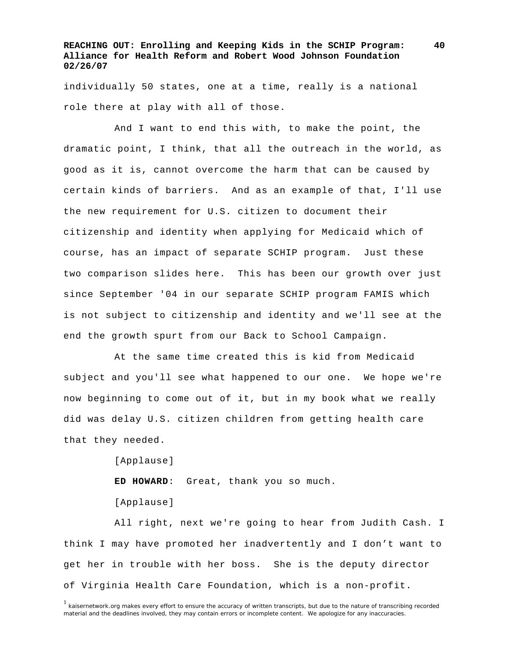individually 50 states, one at a time, really is a national role there at play with all of those.

 And I want to end this with, to make the point, the dramatic point, I think, that all the outreach in the world, as good as it is, cannot overcome the harm that can be caused by certain kinds of barriers. And as an example of that, I'll use the new requirement for U.S. citizen to document their citizenship and identity when applying for Medicaid which of course, has an impact of separate SCHIP program. Just these two comparison slides here. This has been our growth over just since September '04 in our separate SCHIP program FAMIS which is not subject to citizenship and identity and we'll see at the end the growth spurt from our Back to School Campaign.

 At the same time created this is kid from Medicaid subject and you'll see what happened to our one. We hope we're now beginning to come out of it, but in my book what we really did was delay U.S. citizen children from getting health care that they needed.

> [Applause] **ED HOWARD**: Great, thank you so much. [Applause]

 All right, next we're going to hear from Judith Cash. I think I may have promoted her inadvertently and I don't want to get her in trouble with her boss. She is the deputy director of Virginia Health Care Foundation, which is a non-profit.

<sup>&</sup>lt;sup>1</sup> kaisernetwork.org makes every effort to ensure the accuracy of written transcripts, but due to the nature of transcribing recorded material and the deadlines involved, they may contain errors or incomplete content. We apologize for any inaccuracies.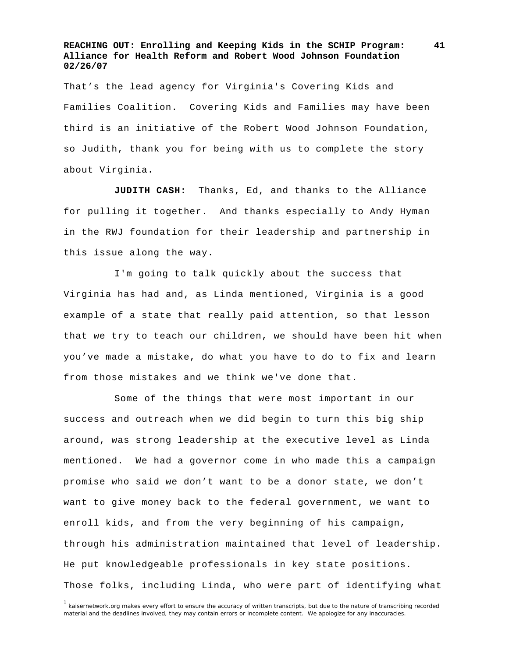That's the lead agency for Virginia's Covering Kids and Families Coalition. Covering Kids and Families may have been third is an initiative of the Robert Wood Johnson Foundation, so Judith, thank you for being with us to complete the story about Virginia.

**JUDITH CASH:** Thanks, Ed, and thanks to the Alliance for pulling it together. And thanks especially to Andy Hyman in the RWJ foundation for their leadership and partnership in this issue along the way.

 I'm going to talk quickly about the success that Virginia has had and, as Linda mentioned, Virginia is a good example of a state that really paid attention, so that lesson that we try to teach our children, we should have been hit when you've made a mistake, do what you have to do to fix and learn from those mistakes and we think we've done that.

 Some of the things that were most important in our success and outreach when we did begin to turn this big ship around, was strong leadership at the executive level as Linda mentioned. We had a governor come in who made this a campaign promise who said we don't want to be a donor state, we don't want to give money back to the federal government, we want to enroll kids, and from the very beginning of his campaign, through his administration maintained that level of leadership. He put knowledgeable professionals in key state positions. Those folks, including Linda, who were part of identifying what

<sup>1</sup> kaisernetwork.org makes every effort to ensure the accuracy of written transcripts, but due to the nature of transcribing recorded material and the deadlines involved, they may contain errors or incomplete content. We apologize for any inaccuracies.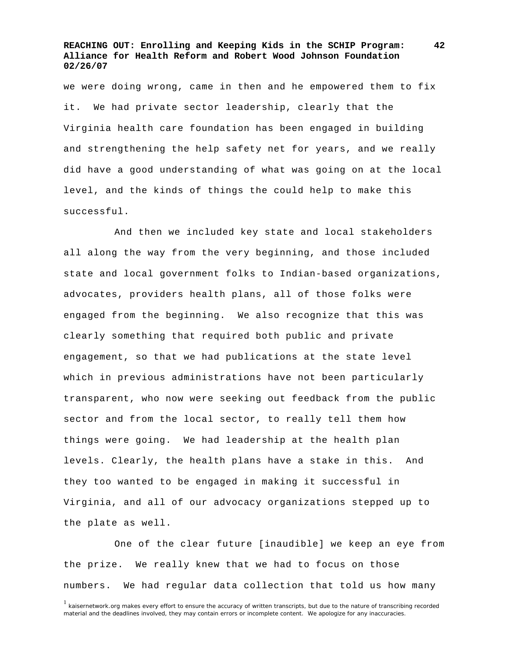we were doing wrong, came in then and he empowered them to fix it. We had private sector leadership, clearly that the Virginia health care foundation has been engaged in building and strengthening the help safety net for years, and we really did have a good understanding of what was going on at the local level, and the kinds of things the could help to make this successful.

 And then we included key state and local stakeholders all along the way from the very beginning, and those included state and local government folks to Indian-based organizations, advocates, providers health plans, all of those folks were engaged from the beginning. We also recognize that this was clearly something that required both public and private engagement, so that we had publications at the state level which in previous administrations have not been particularly transparent, who now were seeking out feedback from the public sector and from the local sector, to really tell them how things were going. We had leadership at the health plan levels. Clearly, the health plans have a stake in this. And they too wanted to be engaged in making it successful in Virginia, and all of our advocacy organizations stepped up to the plate as well.

 One of the clear future [inaudible] we keep an eye from the prize. We really knew that we had to focus on those numbers. We had regular data collection that told us how many

<sup>&</sup>lt;sup>1</sup> kaisernetwork.org makes every effort to ensure the accuracy of written transcripts, but due to the nature of transcribing recorded material and the deadlines involved, they may contain errors or incomplete content. We apologize for any inaccuracies.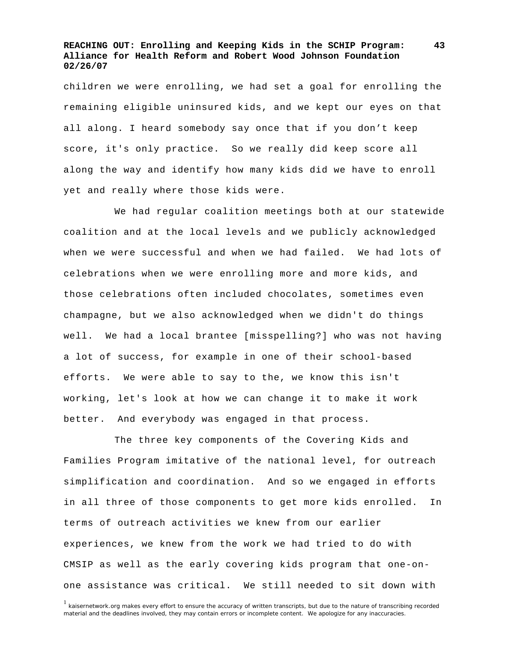children we were enrolling, we had set a goal for enrolling the remaining eligible uninsured kids, and we kept our eyes on that all along. I heard somebody say once that if you don't keep score, it's only practice. So we really did keep score all along the way and identify how many kids did we have to enroll yet and really where those kids were.

 We had regular coalition meetings both at our statewide coalition and at the local levels and we publicly acknowledged when we were successful and when we had failed. We had lots of celebrations when we were enrolling more and more kids, and those celebrations often included chocolates, sometimes even champagne, but we also acknowledged when we didn't do things well. We had a local brantee [misspelling?] who was not having a lot of success, for example in one of their school-based efforts. We were able to say to the, we know this isn't working, let's look at how we can change it to make it work better. And everybody was engaged in that process.

 The three key components of the Covering Kids and Families Program imitative of the national level, for outreach simplification and coordination. And so we engaged in efforts in all three of those components to get more kids enrolled. In terms of outreach activities we knew from our earlier experiences, we knew from the work we had tried to do with CMSIP as well as the early covering kids program that one-onone assistance was critical. We still needed to sit down with

<sup>1</sup> kaisernetwork.org makes every effort to ensure the accuracy of written transcripts, but due to the nature of transcribing recorded material and the deadlines involved, they may contain errors or incomplete content. We apologize for any inaccuracies.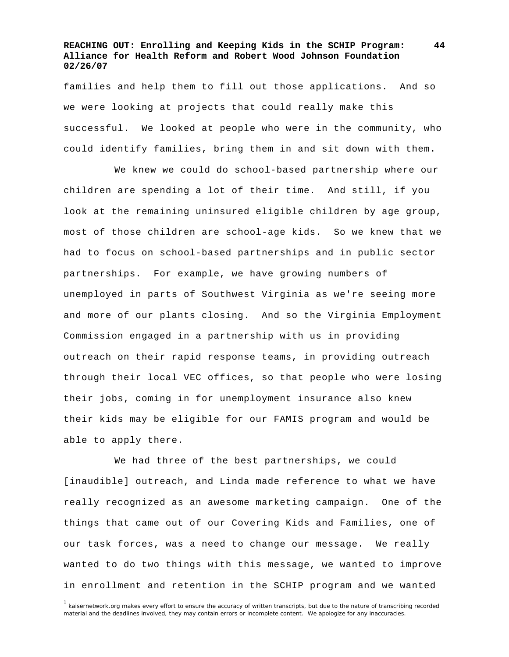families and help them to fill out those applications. And so we were looking at projects that could really make this successful. We looked at people who were in the community, who could identify families, bring them in and sit down with them.

 We knew we could do school-based partnership where our children are spending a lot of their time. And still, if you look at the remaining uninsured eligible children by age group, most of those children are school-age kids. So we knew that we had to focus on school-based partnerships and in public sector partnerships. For example, we have growing numbers of unemployed in parts of Southwest Virginia as we're seeing more and more of our plants closing. And so the Virginia Employment Commission engaged in a partnership with us in providing outreach on their rapid response teams, in providing outreach through their local VEC offices, so that people who were losing their jobs, coming in for unemployment insurance also knew their kids may be eligible for our FAMIS program and would be able to apply there.

 We had three of the best partnerships, we could [inaudible] outreach, and Linda made reference to what we have really recognized as an awesome marketing campaign. One of the things that came out of our Covering Kids and Families, one of our task forces, was a need to change our message. We really wanted to do two things with this message, we wanted to improve in enrollment and retention in the SCHIP program and we wanted

<sup>1</sup> kaisernetwork.org makes every effort to ensure the accuracy of written transcripts, but due to the nature of transcribing recorded material and the deadlines involved, they may contain errors or incomplete content. We apologize for any inaccuracies.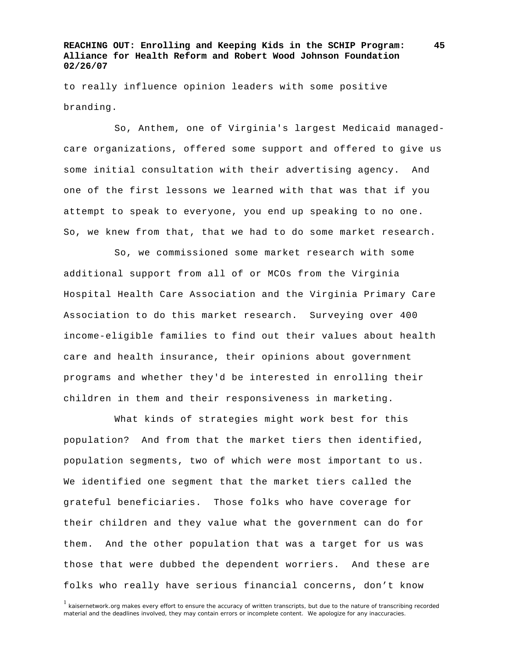to really influence opinion leaders with some positive branding.

 So, Anthem, one of Virginia's largest Medicaid managedcare organizations, offered some support and offered to give us some initial consultation with their advertising agency. And one of the first lessons we learned with that was that if you attempt to speak to everyone, you end up speaking to no one. So, we knew from that, that we had to do some market research.

 So, we commissioned some market research with some additional support from all of or MCOs from the Virginia Hospital Health Care Association and the Virginia Primary Care Association to do this market research. Surveying over 400 income-eligible families to find out their values about health care and health insurance, their opinions about government programs and whether they'd be interested in enrolling their children in them and their responsiveness in marketing.

 What kinds of strategies might work best for this population? And from that the market tiers then identified, population segments, two of which were most important to us. We identified one segment that the market tiers called the grateful beneficiaries. Those folks who have coverage for their children and they value what the government can do for them. And the other population that was a target for us was those that were dubbed the dependent worriers. And these are folks who really have serious financial concerns, don't know

<sup>1</sup> kaisernetwork.org makes every effort to ensure the accuracy of written transcripts, but due to the nature of transcribing recorded material and the deadlines involved, they may contain errors or incomplete content. We apologize for any inaccuracies.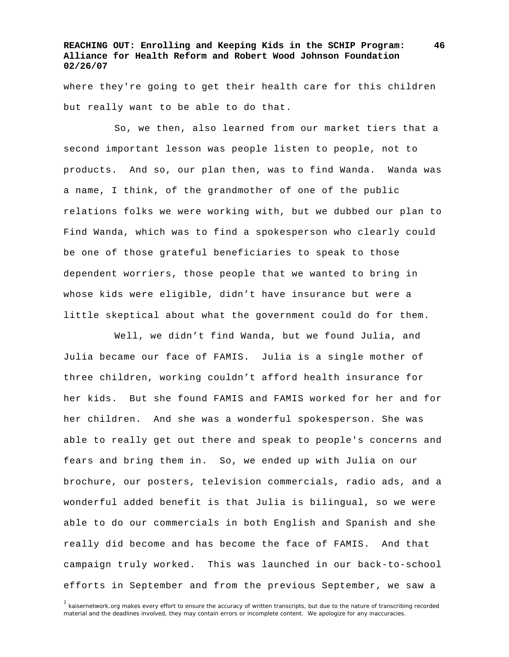where they're going to get their health care for this children but really want to be able to do that.

 So, we then, also learned from our market tiers that a second important lesson was people listen to people, not to products. And so, our plan then, was to find Wanda. Wanda was a name, I think, of the grandmother of one of the public relations folks we were working with, but we dubbed our plan to Find Wanda, which was to find a spokesperson who clearly could be one of those grateful beneficiaries to speak to those dependent worriers, those people that we wanted to bring in whose kids were eligible, didn't have insurance but were a little skeptical about what the government could do for them.

 Well, we didn't find Wanda, but we found Julia, and Julia became our face of FAMIS. Julia is a single mother of three children, working couldn't afford health insurance for her kids. But she found FAMIS and FAMIS worked for her and for her children. And she was a wonderful spokesperson. She was able to really get out there and speak to people's concerns and fears and bring them in. So, we ended up with Julia on our brochure, our posters, television commercials, radio ads, and a wonderful added benefit is that Julia is bilingual, so we were able to do our commercials in both English and Spanish and she really did become and has become the face of FAMIS. And that campaign truly worked. This was launched in our back-to-school efforts in September and from the previous September, we saw a

<sup>1</sup> kaisernetwork.org makes every effort to ensure the accuracy of written transcripts, but due to the nature of transcribing recorded material and the deadlines involved, they may contain errors or incomplete content. We apologize for any inaccuracies.

**<sup>46</sup>**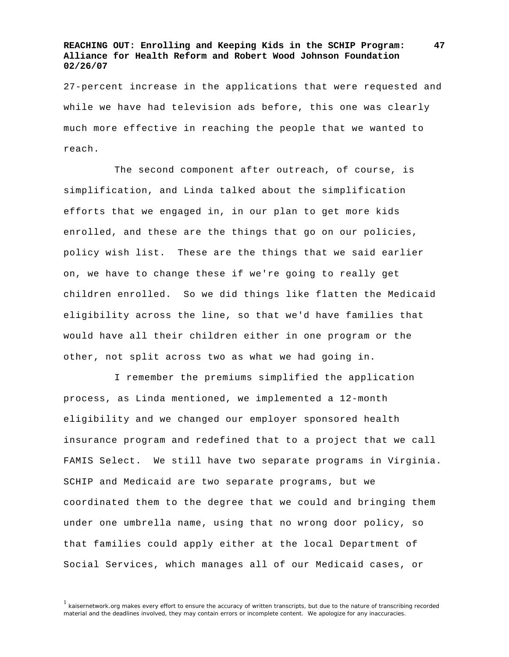27-percent increase in the applications that were requested and while we have had television ads before, this one was clearly much more effective in reaching the people that we wanted to reach.

 The second component after outreach, of course, is simplification, and Linda talked about the simplification efforts that we engaged in, in our plan to get more kids enrolled, and these are the things that go on our policies, policy wish list. These are the things that we said earlier on, we have to change these if we're going to really get children enrolled. So we did things like flatten the Medicaid eligibility across the line, so that we'd have families that would have all their children either in one program or the other, not split across two as what we had going in.

 I remember the premiums simplified the application process, as Linda mentioned, we implemented a 12-month eligibility and we changed our employer sponsored health insurance program and redefined that to a project that we call FAMIS Select. We still have two separate programs in Virginia. SCHIP and Medicaid are two separate programs, but we coordinated them to the degree that we could and bringing them under one umbrella name, using that no wrong door policy, so that families could apply either at the local Department of Social Services, which manages all of our Medicaid cases, or

<sup>1</sup> kaisernetwork.org makes every effort to ensure the accuracy of written transcripts, but due to the nature of transcribing recorded material and the deadlines involved, they may contain errors or incomplete content. We apologize for any inaccuracies.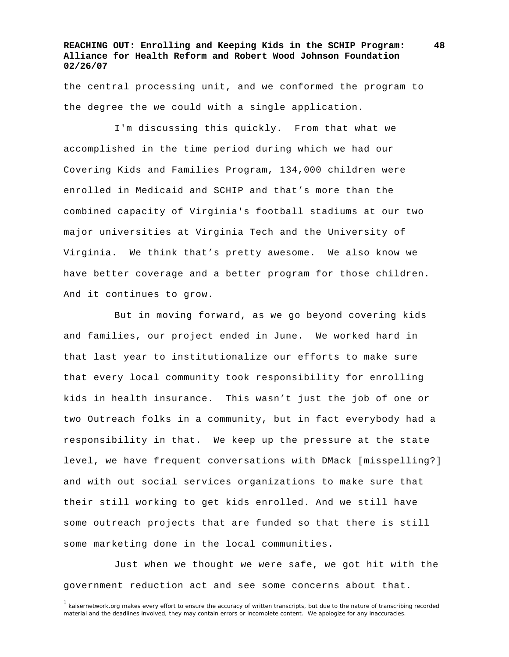the central processing unit, and we conformed the program to the degree the we could with a single application.

 I'm discussing this quickly. From that what we accomplished in the time period during which we had our Covering Kids and Families Program, 134,000 children were enrolled in Medicaid and SCHIP and that's more than the combined capacity of Virginia's football stadiums at our two major universities at Virginia Tech and the University of Virginia. We think that's pretty awesome. We also know we have better coverage and a better program for those children. And it continues to grow.

 But in moving forward, as we go beyond covering kids and families, our project ended in June. We worked hard in that last year to institutionalize our efforts to make sure that every local community took responsibility for enrolling kids in health insurance. This wasn't just the job of one or two Outreach folks in a community, but in fact everybody had a responsibility in that. We keep up the pressure at the state level, we have frequent conversations with DMack [misspelling?] and with out social services organizations to make sure that their still working to get kids enrolled. And we still have some outreach projects that are funded so that there is still some marketing done in the local communities.

 Just when we thought we were safe, we got hit with the government reduction act and see some concerns about that.

<sup>&</sup>lt;sup>1</sup> kaisernetwork.org makes every effort to ensure the accuracy of written transcripts, but due to the nature of transcribing recorded material and the deadlines involved, they may contain errors or incomplete content. We apologize for any inaccuracies.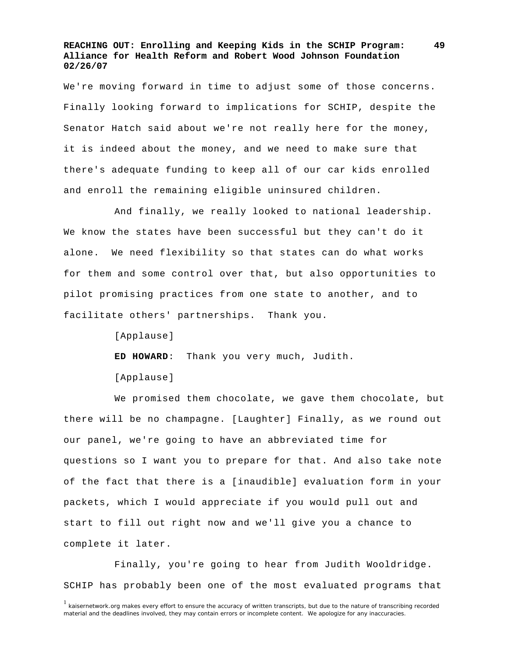We're moving forward in time to adjust some of those concerns. Finally looking forward to implications for SCHIP, despite the Senator Hatch said about we're not really here for the money, it is indeed about the money, and we need to make sure that there's adequate funding to keep all of our car kids enrolled and enroll the remaining eligible uninsured children.

 And finally, we really looked to national leadership. We know the states have been successful but they can't do it alone. We need flexibility so that states can do what works for them and some control over that, but also opportunities to pilot promising practices from one state to another, and to facilitate others' partnerships. Thank you.

[Applause]

**ED HOWARD**: Thank you very much, Judith.

[Applause]

 We promised them chocolate, we gave them chocolate, but there will be no champagne. [Laughter] Finally, as we round out our panel, we're going to have an abbreviated time for questions so I want you to prepare for that. And also take note of the fact that there is a [inaudible] evaluation form in your packets, which I would appreciate if you would pull out and start to fill out right now and we'll give you a chance to complete it later.

 Finally, you're going to hear from Judith Wooldridge. SCHIP has probably been one of the most evaluated programs that

<sup>&</sup>lt;sup>1</sup> kaisernetwork.org makes every effort to ensure the accuracy of written transcripts, but due to the nature of transcribing recorded material and the deadlines involved, they may contain errors or incomplete content. We apologize for any inaccuracies.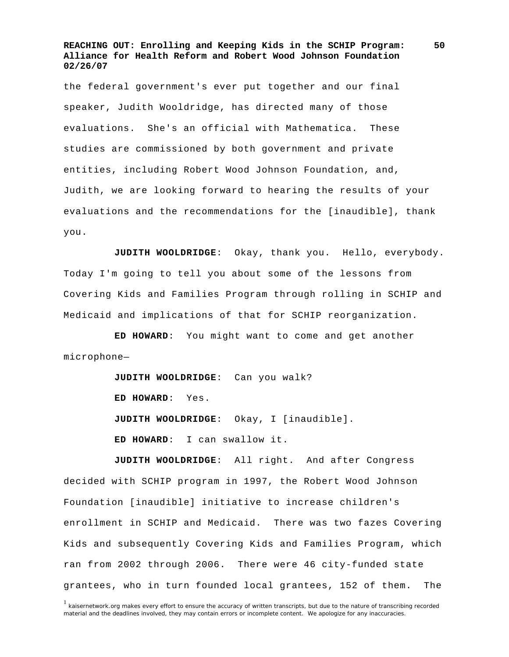the federal government's ever put together and our final speaker, Judith Wooldridge, has directed many of those evaluations. She's an official with Mathematica. These studies are commissioned by both government and private entities, including Robert Wood Johnson Foundation, and, Judith, we are looking forward to hearing the results of your evaluations and the recommendations for the [inaudible], thank you.

**JUDITH WOOLDRIDGE**: Okay, thank you. Hello, everybody. Today I'm going to tell you about some of the lessons from Covering Kids and Families Program through rolling in SCHIP and Medicaid and implications of that for SCHIP reorganization.

**ED HOWARD**: You might want to come and get another microphone—

> **JUDITH WOOLDRIDGE**: Can you walk? **ED HOWARD**: Yes. **JUDITH WOOLDRIDGE**: Okay, I [inaudible]. **ED HOWARD**: I can swallow it.

**JUDITH WOOLDRIDGE**: All right. And after Congress decided with SCHIP program in 1997, the Robert Wood Johnson Foundation [inaudible] initiative to increase children's enrollment in SCHIP and Medicaid. There was two fazes Covering Kids and subsequently Covering Kids and Families Program, which ran from 2002 through 2006. There were 46 city-funded state grantees, who in turn founded local grantees, 152 of them. The

<sup>1</sup> kaisernetwork.org makes every effort to ensure the accuracy of written transcripts, but due to the nature of transcribing recorded material and the deadlines involved, they may contain errors or incomplete content. We apologize for any inaccuracies.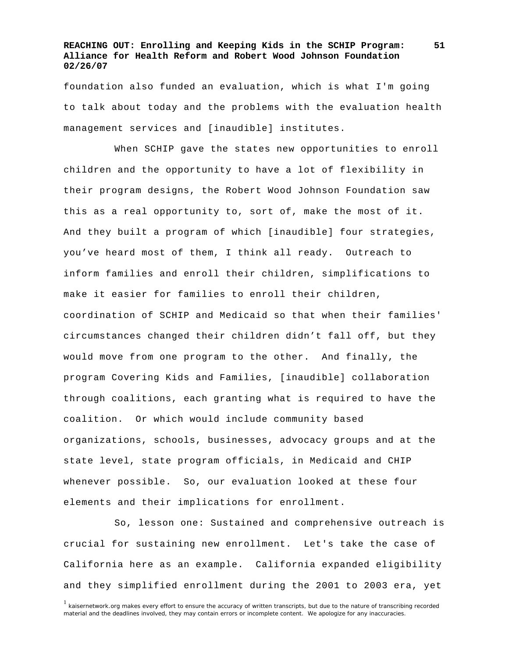foundation also funded an evaluation, which is what I'm going to talk about today and the problems with the evaluation health management services and [inaudible] institutes.

 When SCHIP gave the states new opportunities to enroll children and the opportunity to have a lot of flexibility in their program designs, the Robert Wood Johnson Foundation saw this as a real opportunity to, sort of, make the most of it. And they built a program of which [inaudible] four strategies, you've heard most of them, I think all ready. Outreach to inform families and enroll their children, simplifications to make it easier for families to enroll their children, coordination of SCHIP and Medicaid so that when their families' circumstances changed their children didn't fall off, but they would move from one program to the other. And finally, the program Covering Kids and Families, [inaudible] collaboration through coalitions, each granting what is required to have the coalition. Or which would include community based organizations, schools, businesses, advocacy groups and at the state level, state program officials, in Medicaid and CHIP whenever possible. So, our evaluation looked at these four elements and their implications for enrollment.

 So, lesson one: Sustained and comprehensive outreach is crucial for sustaining new enrollment. Let's take the case of California here as an example. California expanded eligibility and they simplified enrollment during the 2001 to 2003 era, yet

<sup>&</sup>lt;sup>1</sup> kaisernetwork.org makes every effort to ensure the accuracy of written transcripts, but due to the nature of transcribing recorded material and the deadlines involved, they may contain errors or incomplete content. We apologize for any inaccuracies.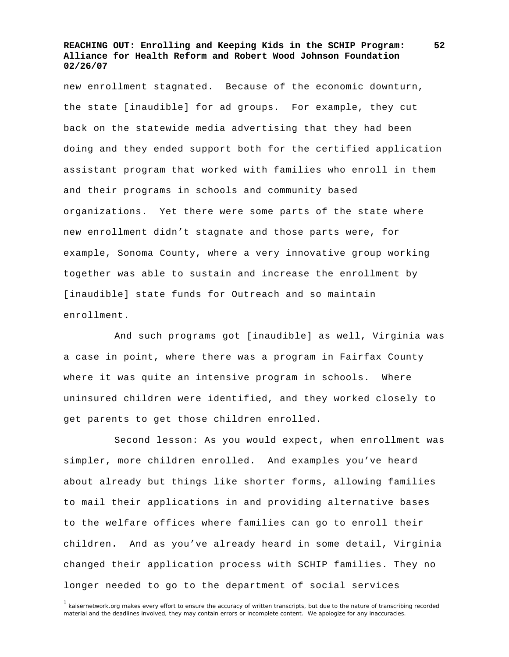new enrollment stagnated. Because of the economic downturn, the state [inaudible] for ad groups. For example, they cut back on the statewide media advertising that they had been doing and they ended support both for the certified application assistant program that worked with families who enroll in them and their programs in schools and community based organizations. Yet there were some parts of the state where new enrollment didn't stagnate and those parts were, for example, Sonoma County, where a very innovative group working together was able to sustain and increase the enrollment by [inaudible] state funds for Outreach and so maintain enrollment.

 And such programs got [inaudible] as well, Virginia was a case in point, where there was a program in Fairfax County where it was quite an intensive program in schools. Where uninsured children were identified, and they worked closely to get parents to get those children enrolled.

 Second lesson: As you would expect, when enrollment was simpler, more children enrolled. And examples you've heard about already but things like shorter forms, allowing families to mail their applications in and providing alternative bases to the welfare offices where families can go to enroll their children. And as you've already heard in some detail, Virginia changed their application process with SCHIP families. They no longer needed to go to the department of social services

<sup>1</sup> kaisernetwork.org makes every effort to ensure the accuracy of written transcripts, but due to the nature of transcribing recorded material and the deadlines involved, they may contain errors or incomplete content. We apologize for any inaccuracies.

**<sup>52</sup>**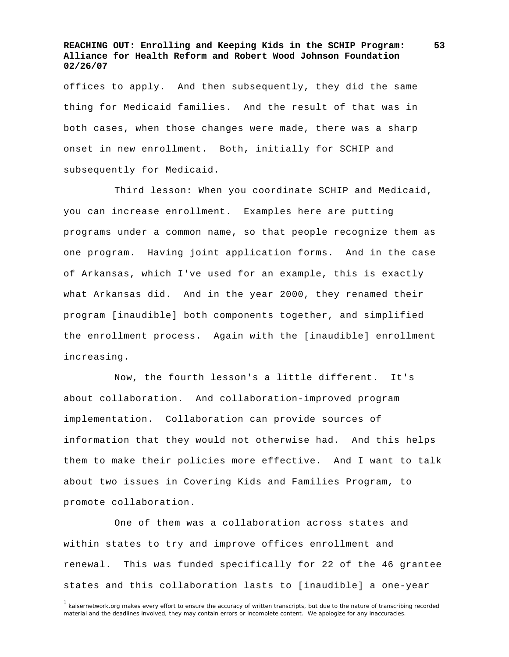offices to apply. And then subsequently, they did the same thing for Medicaid families. And the result of that was in both cases, when those changes were made, there was a sharp onset in new enrollment. Both, initially for SCHIP and subsequently for Medicaid.

 Third lesson: When you coordinate SCHIP and Medicaid, you can increase enrollment. Examples here are putting programs under a common name, so that people recognize them as one program. Having joint application forms. And in the case of Arkansas, which I've used for an example, this is exactly what Arkansas did. And in the year 2000, they renamed their program [inaudible] both components together, and simplified the enrollment process. Again with the [inaudible] enrollment increasing.

 Now, the fourth lesson's a little different. It's about collaboration. And collaboration-improved program implementation. Collaboration can provide sources of information that they would not otherwise had. And this helps them to make their policies more effective. And I want to talk about two issues in Covering Kids and Families Program, to promote collaboration.

 One of them was a collaboration across states and within states to try and improve offices enrollment and renewal. This was funded specifically for 22 of the 46 grantee states and this collaboration lasts to [inaudible] a one-year

<sup>1</sup> kaisernetwork.org makes every effort to ensure the accuracy of written transcripts, but due to the nature of transcribing recorded material and the deadlines involved, they may contain errors or incomplete content. We apologize for any inaccuracies.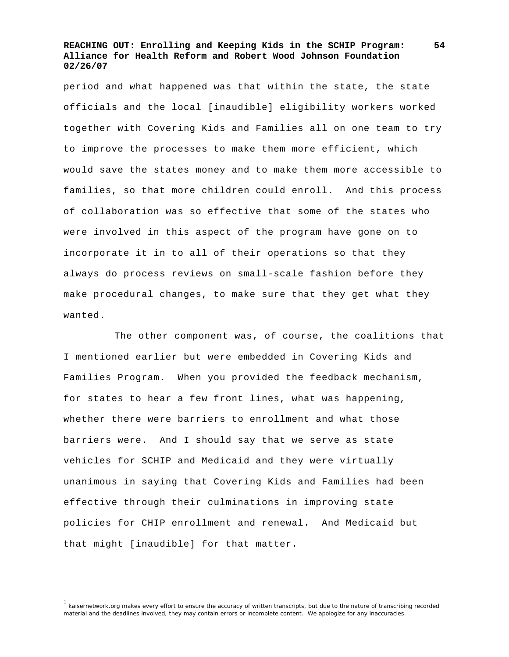period and what happened was that within the state, the state officials and the local [inaudible] eligibility workers worked together with Covering Kids and Families all on one team to try to improve the processes to make them more efficient, which would save the states money and to make them more accessible to families, so that more children could enroll. And this process of collaboration was so effective that some of the states who were involved in this aspect of the program have gone on to incorporate it in to all of their operations so that they always do process reviews on small-scale fashion before they make procedural changes, to make sure that they get what they wanted.

 The other component was, of course, the coalitions that I mentioned earlier but were embedded in Covering Kids and Families Program. When you provided the feedback mechanism, for states to hear a few front lines, what was happening, whether there were barriers to enrollment and what those barriers were. And I should say that we serve as state vehicles for SCHIP and Medicaid and they were virtually unanimous in saying that Covering Kids and Families had been effective through their culminations in improving state policies for CHIP enrollment and renewal. And Medicaid but that might [inaudible] for that matter.

<sup>1</sup> kaisernetwork.org makes every effort to ensure the accuracy of written transcripts, but due to the nature of transcribing recorded material and the deadlines involved, they may contain errors or incomplete content. We apologize for any inaccuracies.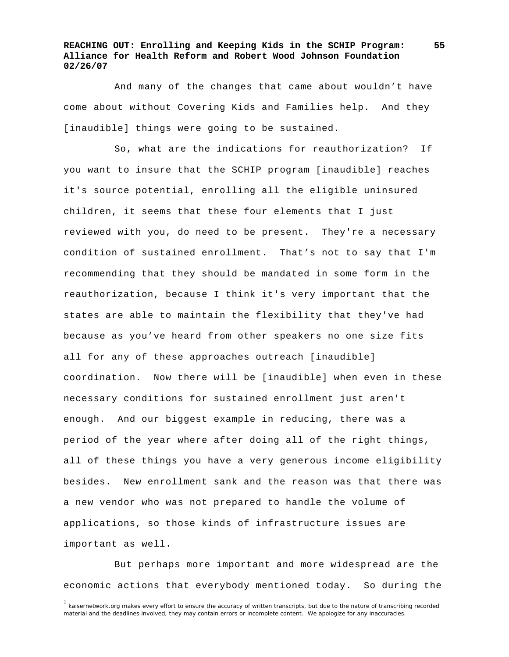And many of the changes that came about wouldn't have come about without Covering Kids and Families help. And they [inaudible] things were going to be sustained.

 So, what are the indications for reauthorization? If you want to insure that the SCHIP program [inaudible] reaches it's source potential, enrolling all the eligible uninsured children, it seems that these four elements that I just reviewed with you, do need to be present. They're a necessary condition of sustained enrollment. That's not to say that I'm recommending that they should be mandated in some form in the reauthorization, because I think it's very important that the states are able to maintain the flexibility that they've had because as you've heard from other speakers no one size fits all for any of these approaches outreach [inaudible] coordination. Now there will be [inaudible] when even in these necessary conditions for sustained enrollment just aren't enough. And our biggest example in reducing, there was a period of the year where after doing all of the right things, all of these things you have a very generous income eligibility besides. New enrollment sank and the reason was that there was a new vendor who was not prepared to handle the volume of applications, so those kinds of infrastructure issues are important as well.

 But perhaps more important and more widespread are the economic actions that everybody mentioned today. So during the

<sup>&</sup>lt;sup>1</sup> kaisernetwork.org makes every effort to ensure the accuracy of written transcripts, but due to the nature of transcribing recorded material and the deadlines involved, they may contain errors or incomplete content. We apologize for any inaccuracies.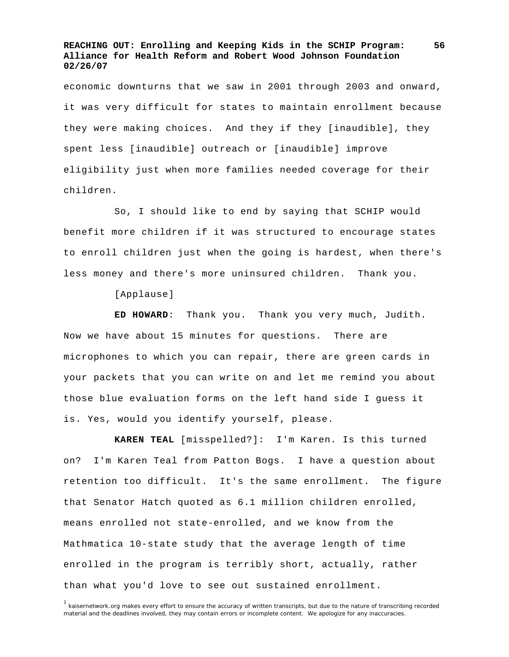economic downturns that we saw in 2001 through 2003 and onward, it was very difficult for states to maintain enrollment because they were making choices. And they if they [inaudible], they spent less [inaudible] outreach or [inaudible] improve eligibility just when more families needed coverage for their children.

 So, I should like to end by saying that SCHIP would benefit more children if it was structured to encourage states to enroll children just when the going is hardest, when there's less money and there's more uninsured children. Thank you.

[Applause]

**ED HOWARD**: Thank you. Thank you very much, Judith. Now we have about 15 minutes for questions. There are microphones to which you can repair, there are green cards in your packets that you can write on and let me remind you about those blue evaluation forms on the left hand side I guess it is. Yes, would you identify yourself, please.

**KAREN TEAL** [misspelled?]: I'm Karen. Is this turned on? I'm Karen Teal from Patton Bogs. I have a question about retention too difficult. It's the same enrollment. The figure that Senator Hatch quoted as 6.1 million children enrolled, means enrolled not state-enrolled, and we know from the Mathmatica 10-state study that the average length of time enrolled in the program is terribly short, actually, rather than what you'd love to see out sustained enrollment.

<sup>&</sup>lt;sup>1</sup> kaisernetwork.org makes every effort to ensure the accuracy of written transcripts, but due to the nature of transcribing recorded material and the deadlines involved, they may contain errors or incomplete content. We apologize for any inaccuracies.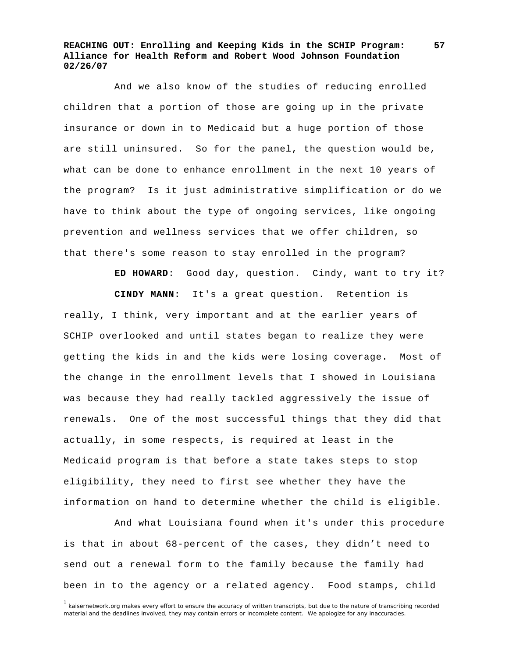And we also know of the studies of reducing enrolled children that a portion of those are going up in the private insurance or down in to Medicaid but a huge portion of those are still uninsured. So for the panel, the question would be, what can be done to enhance enrollment in the next 10 years of the program? Is it just administrative simplification or do we have to think about the type of ongoing services, like ongoing prevention and wellness services that we offer children, so that there's some reason to stay enrolled in the program?

**ED HOWARD**: Good day, question. Cindy, want to try it?

**CINDY MANN:** It's a great question. Retention is really, I think, very important and at the earlier years of SCHIP overlooked and until states began to realize they were getting the kids in and the kids were losing coverage. Most of the change in the enrollment levels that I showed in Louisiana was because they had really tackled aggressively the issue of renewals. One of the most successful things that they did that actually, in some respects, is required at least in the Medicaid program is that before a state takes steps to stop eligibility, they need to first see whether they have the information on hand to determine whether the child is eligible.

 And what Louisiana found when it's under this procedure is that in about 68-percent of the cases, they didn't need to send out a renewal form to the family because the family had been in to the agency or a related agency. Food stamps, child

<sup>&</sup>lt;sup>1</sup> kaisernetwork.org makes every effort to ensure the accuracy of written transcripts, but due to the nature of transcribing recorded material and the deadlines involved, they may contain errors or incomplete content. We apologize for any inaccuracies.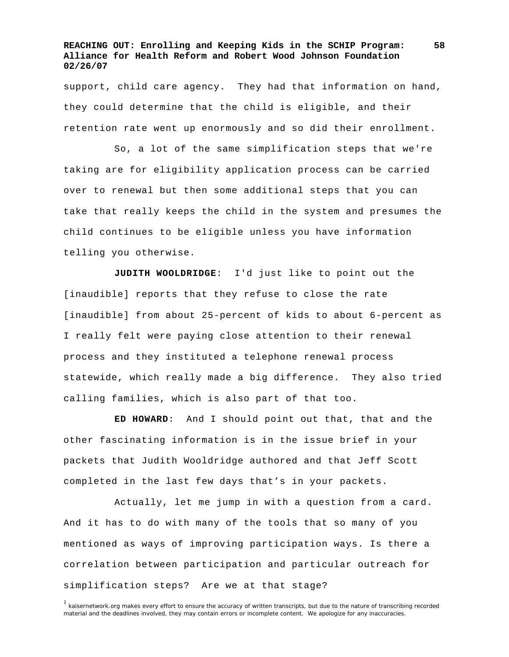support, child care agency. They had that information on hand, they could determine that the child is eligible, and their retention rate went up enormously and so did their enrollment.

 So, a lot of the same simplification steps that we're taking are for eligibility application process can be carried over to renewal but then some additional steps that you can take that really keeps the child in the system and presumes the child continues to be eligible unless you have information telling you otherwise.

**JUDITH WOOLDRIDGE**: I'd just like to point out the [inaudible] reports that they refuse to close the rate [inaudible] from about 25-percent of kids to about 6-percent as I really felt were paying close attention to their renewal process and they instituted a telephone renewal process statewide, which really made a big difference. They also tried calling families, which is also part of that too.

**ED HOWARD**: And I should point out that, that and the other fascinating information is in the issue brief in your packets that Judith Wooldridge authored and that Jeff Scott completed in the last few days that's in your packets.

 Actually, let me jump in with a question from a card. And it has to do with many of the tools that so many of you mentioned as ways of improving participation ways. Is there a correlation between participation and particular outreach for simplification steps? Are we at that stage?

<sup>&</sup>lt;sup>1</sup> kaisernetwork.org makes every effort to ensure the accuracy of written transcripts, but due to the nature of transcribing recorded material and the deadlines involved, they may contain errors or incomplete content. We apologize for any inaccuracies.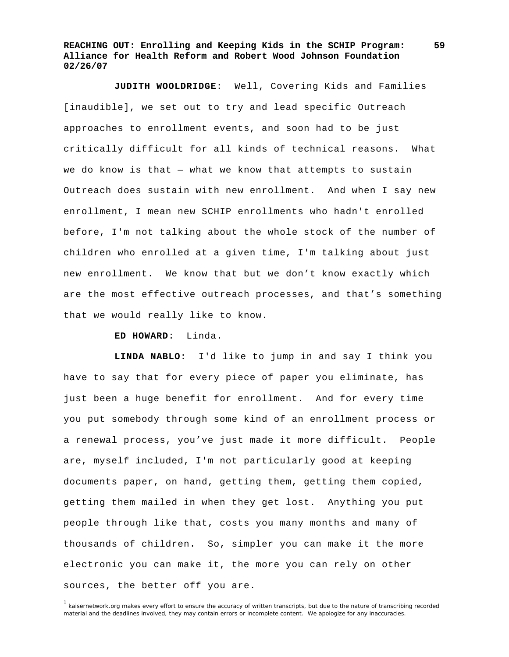**JUDITH WOOLDRIDGE**: Well, Covering Kids and Families [inaudible], we set out to try and lead specific Outreach approaches to enrollment events, and soon had to be just critically difficult for all kinds of technical reasons. What we do know is that  $-$  what we know that attempts to sustain Outreach does sustain with new enrollment. And when I say new enrollment, I mean new SCHIP enrollments who hadn't enrolled before, I'm not talking about the whole stock of the number of children who enrolled at a given time, I'm talking about just new enrollment. We know that but we don't know exactly which are the most effective outreach processes, and that's something that we would really like to know.

**ED HOWARD**: Linda.

**LINDA NABLO**: I'd like to jump in and say I think you have to say that for every piece of paper you eliminate, has just been a huge benefit for enrollment. And for every time you put somebody through some kind of an enrollment process or a renewal process, you've just made it more difficult. People are, myself included, I'm not particularly good at keeping documents paper, on hand, getting them, getting them copied, getting them mailed in when they get lost. Anything you put people through like that, costs you many months and many of thousands of children. So, simpler you can make it the more electronic you can make it, the more you can rely on other sources, the better off you are.

<sup>&</sup>lt;sup>1</sup> kaisernetwork.org makes every effort to ensure the accuracy of written transcripts, but due to the nature of transcribing recorded material and the deadlines involved, they may contain errors or incomplete content. We apologize for any inaccuracies.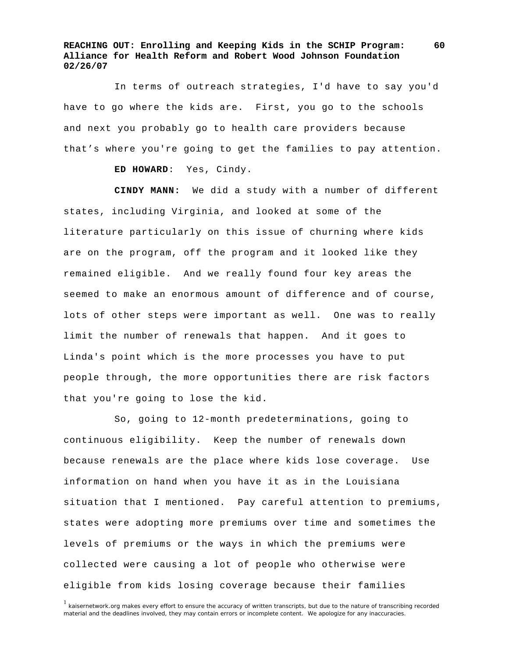In terms of outreach strategies, I'd have to say you'd have to go where the kids are. First, you go to the schools and next you probably go to health care providers because that's where you're going to get the families to pay attention.

**ED HOWARD**: Yes, Cindy.

**CINDY MANN:** We did a study with a number of different states, including Virginia, and looked at some of the literature particularly on this issue of churning where kids are on the program, off the program and it looked like they remained eligible. And we really found four key areas the seemed to make an enormous amount of difference and of course, lots of other steps were important as well. One was to really limit the number of renewals that happen. And it goes to Linda's point which is the more processes you have to put people through, the more opportunities there are risk factors that you're going to lose the kid.

 So, going to 12-month predeterminations, going to continuous eligibility. Keep the number of renewals down because renewals are the place where kids lose coverage. Use information on hand when you have it as in the Louisiana situation that I mentioned. Pay careful attention to premiums, states were adopting more premiums over time and sometimes the levels of premiums or the ways in which the premiums were collected were causing a lot of people who otherwise were eligible from kids losing coverage because their families

<sup>&</sup>lt;sup>1</sup> kaisernetwork.org makes every effort to ensure the accuracy of written transcripts, but due to the nature of transcribing recorded material and the deadlines involved, they may contain errors or incomplete content. We apologize for any inaccuracies.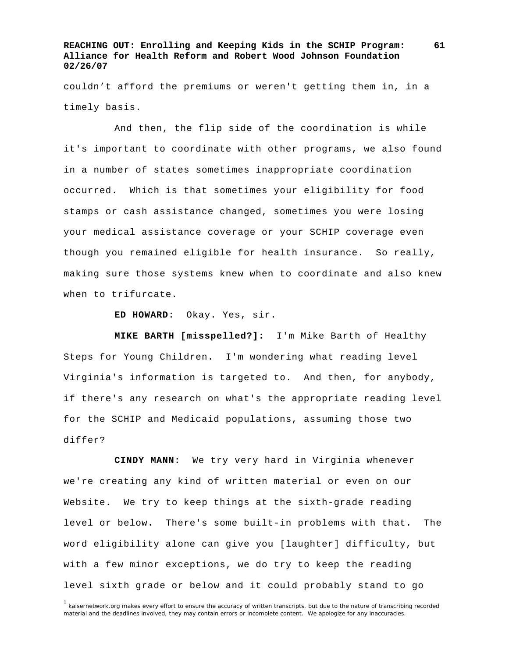couldn't afford the premiums or weren't getting them in, in a timely basis.

 And then, the flip side of the coordination is while it's important to coordinate with other programs, we also found in a number of states sometimes inappropriate coordination occurred. Which is that sometimes your eligibility for food stamps or cash assistance changed, sometimes you were losing your medical assistance coverage or your SCHIP coverage even though you remained eligible for health insurance. So really, making sure those systems knew when to coordinate and also knew when to trifurcate.

**ED HOWARD**: Okay. Yes, sir.

**MIKE BARTH [misspelled?]:** I'm Mike Barth of Healthy Steps for Young Children. I'm wondering what reading level Virginia's information is targeted to. And then, for anybody, if there's any research on what's the appropriate reading level for the SCHIP and Medicaid populations, assuming those two differ?

**CINDY MANN:** We try very hard in Virginia whenever we're creating any kind of written material or even on our Website. We try to keep things at the sixth-grade reading level or below. There's some built-in problems with that. The word eligibility alone can give you [laughter] difficulty, but with a few minor exceptions, we do try to keep the reading level sixth grade or below and it could probably stand to go

<sup>&</sup>lt;sup>1</sup> kaisernetwork.org makes every effort to ensure the accuracy of written transcripts, but due to the nature of transcribing recorded material and the deadlines involved, they may contain errors or incomplete content. We apologize for any inaccuracies.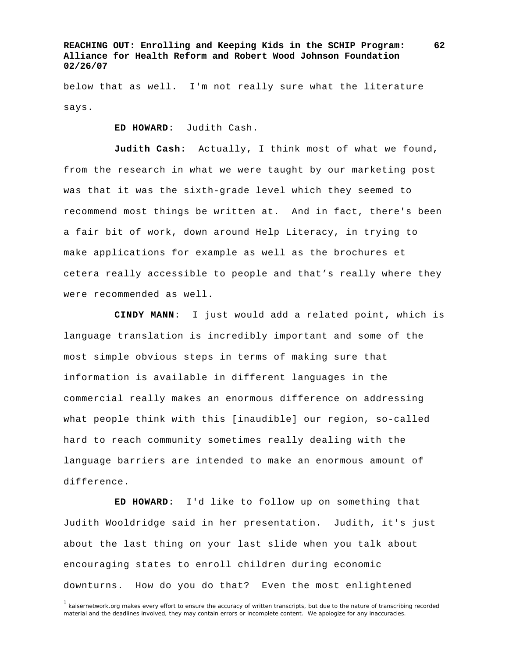below that as well. I'm not really sure what the literature says.

**ED HOWARD**: Judith Cash.

**Judith Cash**: Actually, I think most of what we found, from the research in what we were taught by our marketing post was that it was the sixth-grade level which they seemed to recommend most things be written at. And in fact, there's been a fair bit of work, down around Help Literacy, in trying to make applications for example as well as the brochures et cetera really accessible to people and that's really where they were recommended as well.

**CINDY MANN**: I just would add a related point, which is language translation is incredibly important and some of the most simple obvious steps in terms of making sure that information is available in different languages in the commercial really makes an enormous difference on addressing what people think with this [inaudible] our region, so-called hard to reach community sometimes really dealing with the language barriers are intended to make an enormous amount of difference.

**ED HOWARD**: I'd like to follow up on something that Judith Wooldridge said in her presentation. Judith, it's just about the last thing on your last slide when you talk about encouraging states to enroll children during economic downturns. How do you do that? Even the most enlightened

<sup>&</sup>lt;sup>1</sup> kaisernetwork.org makes every effort to ensure the accuracy of written transcripts, but due to the nature of transcribing recorded material and the deadlines involved, they may contain errors or incomplete content. We apologize for any inaccuracies.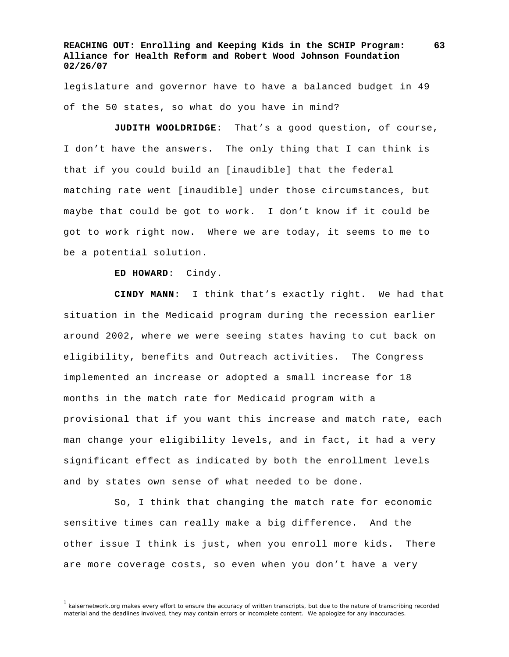legislature and governor have to have a balanced budget in 49 of the 50 states, so what do you have in mind?

**JUDITH WOOLDRIDGE**: That's a good question, of course, I don't have the answers. The only thing that I can think is that if you could build an [inaudible] that the federal matching rate went [inaudible] under those circumstances, but maybe that could be got to work. I don't know if it could be got to work right now. Where we are today, it seems to me to be a potential solution.

#### **ED HOWARD**: Cindy.

**CINDY MANN:** I think that's exactly right. We had that situation in the Medicaid program during the recession earlier around 2002, where we were seeing states having to cut back on eligibility, benefits and Outreach activities. The Congress implemented an increase or adopted a small increase for 18 months in the match rate for Medicaid program with a provisional that if you want this increase and match rate, each man change your eligibility levels, and in fact, it had a very significant effect as indicated by both the enrollment levels and by states own sense of what needed to be done.

 So, I think that changing the match rate for economic sensitive times can really make a big difference. And the other issue I think is just, when you enroll more kids. There are more coverage costs, so even when you don't have a very

<sup>&</sup>lt;sup>1</sup> kaisernetwork.org makes every effort to ensure the accuracy of written transcripts, but due to the nature of transcribing recorded material and the deadlines involved, they may contain errors or incomplete content. We apologize for any inaccuracies.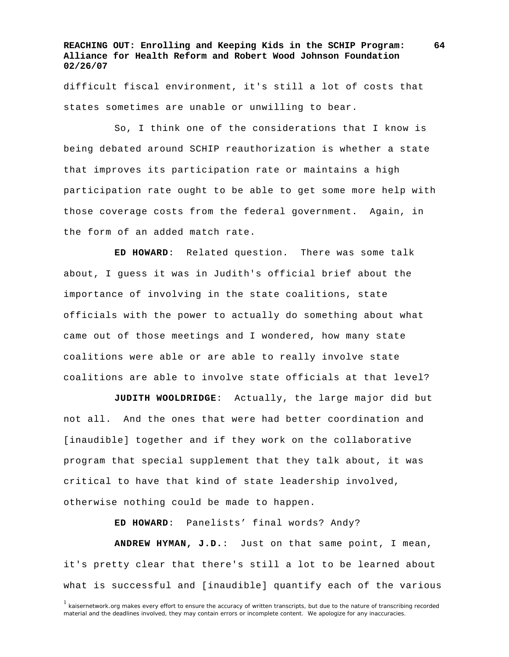difficult fiscal environment, it's still a lot of costs that states sometimes are unable or unwilling to bear.

 So, I think one of the considerations that I know is being debated around SCHIP reauthorization is whether a state that improves its participation rate or maintains a high participation rate ought to be able to get some more help with those coverage costs from the federal government. Again, in the form of an added match rate.

**ED HOWARD**: Related question. There was some talk about, I guess it was in Judith's official brief about the importance of involving in the state coalitions, state officials with the power to actually do something about what came out of those meetings and I wondered, how many state coalitions were able or are able to really involve state coalitions are able to involve state officials at that level?

**JUDITH WOOLDRIDGE**: Actually, the large major did but not all. And the ones that were had better coordination and [inaudible] together and if they work on the collaborative program that special supplement that they talk about, it was critical to have that kind of state leadership involved, otherwise nothing could be made to happen.

**ED HOWARD**: Panelists' final words? Andy?

**ANDREW HYMAN, J.D.**: Just on that same point, I mean, it's pretty clear that there's still a lot to be learned about what is successful and [inaudible] quantify each of the various

<sup>&</sup>lt;sup>1</sup> kaisernetwork.org makes every effort to ensure the accuracy of written transcripts, but due to the nature of transcribing recorded material and the deadlines involved, they may contain errors or incomplete content. We apologize for any inaccuracies.